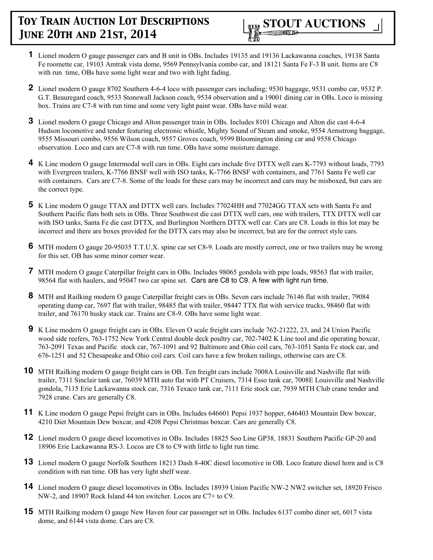- **1** Lionel modern O gauge passenger cars and B unit in OBs. Includes 19135 and 19136 Lackawanna coaches, 19138 Santa Fe roomette car, 19103 Amtrak vista dome, 9569 Pennsylvania combo car, and 18121 Santa Fe F-3 B unit. Items are C8 with run time, OBs have some light wear and two with light fading.
- **2** Lionel modern O gauge 8702 Southern 4-6-4 loco with passenger cars including; 9530 baggage, 9531 combo car, 9532 P. G.T. Beauregard coach, 9533 Stonewall Jackson coach, 9534 observation and a 19001 dining car in OBs. Loco is missing box. Trains are C7-8 with run time and some very light paint wear. OBs have mild wear.
- **3** Lionel modern O gauge Chicago and Alton passenger train in OBs. Includes 8101 Chicago and Alton die cast 4-6-4 Hudson locomotive and tender featuring electronic whistle, Mighty Sound of Steam and smoke, 9554 Armstrong baggage, 9555 Missouri combo, 9556 Wilson coach, 9557 Groves coach, 9599 Bloomington dining car and 9558 Chicago observation. Loco and cars are C7-8 with run time. OBs have some moisture damage.
- **4** K Line modern O gauge Intermodal well cars in OBs. Eight cars include five DTTX well cars K-7793 without loads, 7793 with Evergreen trailers, K-7766 BNSF well with ISO tanks, K-7766 BNSF with containers, and 7761 Santa Fe well car with containers. Cars are C7-8. Some of the loads for these cars may be incorrect and cars may be misboxed, but cars are the correct type.
- **5** K Line modern O gauge TTAX and DTTX well cars. Includes 77024HH and 77024GG TTAX sets with Santa Fe and Southern Pacific flats both sets in OBs. Three Southwest die cast DTTX well cars, one with trailers, TTX DTTX well car with ISO tanks, Santa Fe die cast DTTX, and Burlington Northern DTTX well car. Cars are C8. Loads in this lot may be incorrect and there are boxes provided for the DTTX cars may also be incorrect, but are for the correct style cars.
- **6** MTH modern O gauge 20-95035 T.T.U.X. spine car set C8-9. Loads are mostly correct, one or two trailers may be wrong for this set. OB has some minor corner wear.
- **7** MTH modern O gauge Caterpillar freight cars in OBs. Includes 98065 gondola with pipe loads, 98563 flat with trailer, 98564 flat with haulers, and 95047 two car spine set. Cars are C8 to C9. A few with light run time.
- **8** MTH and Railking modern O gauge Caterpillar freight cars in OBs. Seven cars include 76146 flat with trailer, 79084 operating dump car, 7697 flat with trailer, 98485 flat with trailer, 98447 TTX flat with service trucks, 98460 flat with trailer, and 76170 husky stack car. Trains are C8-9. OBs have some light wear.
- **9** K Line modern O gauge freight cars in OBs. Eleven O scale freight cars include 762-21222, 23, and 24 Union Pacific wood side reefers, 763-1752 New York Central double deck poultry car, 702-7402 K Line tool and die operating boxcar, 763-2091 Texas and Pacific stock car, 767-1091 and 92 Baltimore and Ohio coil cars, 763-1051 Santa Fe stock car, and 676-1251 and 52 Chesapeake and Ohio coil cars. Coil cars have a few broken railings, otherwise cars are C8.
- **10** MTH Railking modern O gauge freight cars in OB. Ten freight cars include 7008A Louisville and Nashville flat with trailer, 7311 Sinclair tank car, 76039 MTH auto flat with PT Cruisers, 7314 Esso tank car, 7008E Louisville and Nashville gondola, 7115 Erie Lackawanna stock car, 7316 Texaco tank car, 7111 Erie stock car, 7939 MTH Club crane tender and 7928 crane. Cars are generally C8.
- **11** K Line modern O gauge Pepsi freight cars in OBs. Includes 646601 Pepsi 1937 hopper, 646403 Mountain Dew boxcar, 4210 Diet Mountain Dew boxcar, and 4208 Pepsi Christmas boxcar. Cars are generally C8.
- **12** Lionel modern O gauge diesel locomotives in OBs. Includes 18825 Soo Line GP38, 18831 Southern Pacific GP-20 and 18906 Erie Lackawanna RS-3. Locos are C8 to C9 with little to light run time.
- **13** Lionel modern O gauge Norfolk Southern 18213 Dash 8-40C diesel locomotive in OB. Loco feature diesel horn and is C8 condition with run time. OB has very light shelf wear.
- **14** Lionel modern O gauge diesel locomotives in OBs. Includes 18939 Union Pacific NW-2 NW2 switcher set, 18920 Frisco NW-2, and 18907 Rock Island 44 ton switcher. Locos are C7+ to C9.
- **15** MTH Railking modern O gauge New Haven four car passenger set in OBs. Includes 6137 combo diner set, 6017 vista dome, and 6144 vista dome. Cars are C8.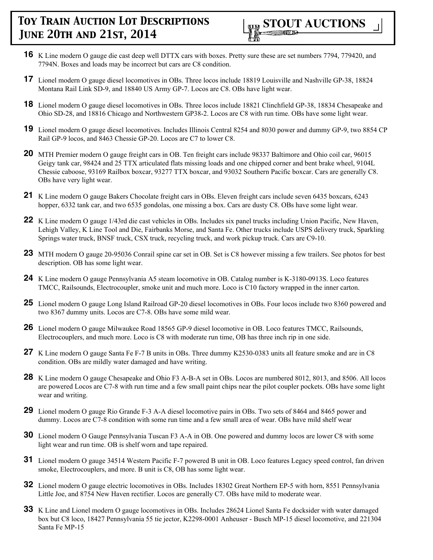- **16** K Line modern O gauge die cast deep well DTTX cars with boxes. Pretty sure these are set numbers 7794, 779420, and 7794N. Boxes and loads may be incorrect but cars are C8 condition.
- **17** Lionel modern O gauge diesel locomotives in OBs. Three locos include 18819 Louisville and Nashville GP-38, 18824 Montana Rail Link SD-9, and 18840 US Army GP-7. Locos are C8. OBs have light wear.
- **18** Lionel modern O gauge diesel locomotives in OBs. Three locos include 18821 Clinchfield GP-38, 18834 Chesapeake and Ohio SD-28, and 18816 Chicago and Northwestern GP38-2. Locos are C8 with run time. OBs have some light wear.
- **19** Lionel modern O gauge diesel locomotives. Includes Illinois Central 8254 and 8030 power and dummy GP-9, two 8854 CP Rail GP-9 locos, and 8463 Chessie GP-20. Locos are C7 to lower C8.
- **20** MTH Premier modern O gauge freight cars in OB. Ten freight cars include 98337 Baltimore and Ohio coil car, 96015 Geigy tank car, 98424 and 25 TTX articulated flats missing loads and one chipped corner and bent brake wheel, 9104L Chessie caboose, 93169 Railbox boxcar, 93277 TTX boxcar, and 93032 Southern Pacific boxcar. Cars are generally C8. OBs have very light wear.
- **21** K Line modern O gauge Bakers Chocolate freight cars in OBs. Eleven freight cars include seven 6435 boxcars, 6243 hopper, 6332 tank car, and two 6535 gondolas, one missing a box. Cars are dusty C8. OBs have some light wear.
- **22** K Line modern O gauge 1/43rd die cast vehicles in OBs. Includes six panel trucks including Union Pacific, New Haven, Lehigh Valley, K Line Tool and Die, Fairbanks Morse, and Santa Fe. Other trucks include USPS delivery truck, Sparkling Springs water truck, BNSF truck, CSX truck, recycling truck, and work pickup truck. Cars are C9-10.
- **23** MTH modern O gauge 20-95036 Conrail spine car set in OB. Set is C8 however missing a few trailers. See photos for best description. OB has some light wear.
- **24** K Line modern O gauge Pennsylvania A5 steam locomotive in OB. Catalog number is K-3180-0913S. Loco features TMCC, Railsounds, Electrocoupler, smoke unit and much more. Loco is C10 factory wrapped in the inner carton.
- **25** Lionel modern O gauge Long Island Railroad GP-20 diesel locomotives in OBs. Four locos include two 8360 powered and two 8367 dummy units. Locos are C7-8. OBs have some mild wear.
- **26** Lionel modern O gauge Milwaukee Road 18565 GP-9 diesel locomotive in OB. Loco features TMCC, Railsounds, Electrocouplers, and much more. Loco is C8 with moderate run time, OB has three inch rip in one side.
- **27** K Line modern O gauge Santa Fe F-7 B units in OBs. Three dummy K2530-0383 units all feature smoke and are in C8 condition. OBs are mildly water damaged and have writing.
- **28** K Line modern O gauge Chesapeake and Ohio F3 A-B-A set in OBs. Locos are numbered 8012, 8013, and 8506. All locos are powered Locos are C7-8 with run time and a few small paint chips near the pilot coupler pockets. OBs have some light wear and writing.
- **29** Lionel modern O gauge Rio Grande F-3 A-A diesel locomotive pairs in OBs. Two sets of 8464 and 8465 power and dummy. Locos are C7-8 condition with some run time and a few small area of wear. OBs have mild shelf wear
- **30** Lionel modern O Gauge Pennsylvania Tuscan F3 A-A in OB. One powered and dummy locos are lower C8 with some light wear and run time. OB is shelf worn and tape repaired.
- **31** Lionel modern O gauge 34514 Western Pacific F-7 powered B unit in OB. Loco features Legacy speed control, fan driven smoke, Electrocouplers, and more. B unit is C8, OB has some light wear.
- **32** Lionel modern O gauge electric locomotives in OBs. Includes 18302 Great Northern EP-5 with horn, 8551 Pennsylvania Little Joe, and 8754 New Haven rectifier. Locos are generally C7. OBs have mild to moderate wear.
- **33** K Line and Lionel modern O gauge locomotives in OBs. Includes 28624 Lionel Santa Fe docksider with water damaged box but C8 loco, 18427 Pennsylvania 55 tie jector, K2298-0001 Anheuser - Busch MP-15 diesel locomotive, and 221304 Santa Fe MP-15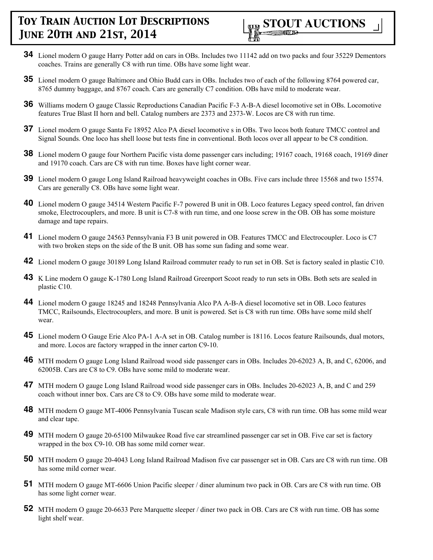

- **34** Lionel modern O gauge Harry Potter add on cars in OBs. Includes two 11142 add on two packs and four 35229 Dementors coaches. Trains are generally C8 with run time. OBs have some light wear.
- **35** Lionel modern O gauge Baltimore and Ohio Budd cars in OBs. Includes two of each of the following 8764 powered car, 8765 dummy baggage, and 8767 coach. Cars are generally C7 condition. OBs have mild to moderate wear.
- **36** Williams modern O gauge Classic Reproductions Canadian Pacific F-3 A-B-A diesel locomotive set in OBs. Locomotive features True Blast II horn and bell. Catalog numbers are 2373 and 2373-W. Locos are C8 with run time.
- **37** Lionel modern O gauge Santa Fe 18952 Alco PA diesel locomotive s in OBs. Two locos both feature TMCC control and Signal Sounds. One loco has shell loose but tests fine in conventional. Both locos over all appear to be C8 condition.
- **38** Lionel modern O gauge four Northern Pacific vista dome passenger cars including; 19167 coach, 19168 coach, 19169 diner and 19170 coach. Cars are C8 with run time. Boxes have light corner wear.
- **39** Lionel modern O gauge Long Island Railroad heavyweight coaches in OBs. Five cars include three 15568 and two 15574. Cars are generally C8. OBs have some light wear.
- **40** Lionel modern O gauge 34514 Western Pacific F-7 powered B unit in OB. Loco features Legacy speed control, fan driven smoke, Electrocouplers, and more. B unit is C7-8 with run time, and one loose screw in the OB. OB has some moisture damage and tape repairs.
- **41** Lionel modern O gauge 24563 Pennsylvania F3 B unit powered in OB. Features TMCC and Electrocoupler. Loco is C7 with two broken steps on the side of the B unit. OB has some sun fading and some wear.
- **42** Lionel modern O gauge 30189 Long Island Railroad commuter ready to run set in OB. Set is factory sealed in plastic C10.
- **43** K Line modern O gauge K-1780 Long Island Railroad Greenport Scoot ready to run sets in OBs. Both sets are sealed in plastic C10.
- **44** Lionel modern O gauge 18245 and 18248 Pennsylvania Alco PA A-B-A diesel locomotive set in OB. Loco features TMCC, Railsounds, Electrocouplers, and more. B unit is powered. Set is C8 with run time. OBs have some mild shelf wear.
- **45** Lionel modern O Gauge Erie Alco PA-1 A-A set in OB. Catalog number is 18116. Locos feature Railsounds, dual motors, and more. Locos are factory wrapped in the inner carton C9-10.
- **46** MTH modern O gauge Long Island Railroad wood side passenger cars in OBs. Includes 20-62023 A, B, and C, 62006, and 62005B. Cars are C8 to C9. OBs have some mild to moderate wear.
- **47** MTH modern O gauge Long Island Railroad wood side passenger cars in OBs. Includes 20-62023 A, B, and C and 259 coach without inner box. Cars are C8 to C9. OBs have some mild to moderate wear.
- **48** MTH modern O gauge MT-4006 Pennsylvania Tuscan scale Madison style cars, C8 with run time. OB has some mild wear and clear tape.
- **49** MTH modern O gauge 20-65100 Milwaukee Road five car streamlined passenger car set in OB. Five car set is factory wrapped in the box C9-10. OB has some mild corner wear.
- **50** MTH modern O gauge 20-4043 Long Island Railroad Madison five car passenger set in OB. Cars are C8 with run time. OB has some mild corner wear.
- **51** MTH modern O gauge MT-6606 Union Pacific sleeper / diner aluminum two pack in OB. Cars are C8 with run time. OB has some light corner wear.
- **52** MTH modern O gauge 20-6633 Pere Marquette sleeper / diner two pack in OB. Cars are C8 with run time. OB has some light shelf wear.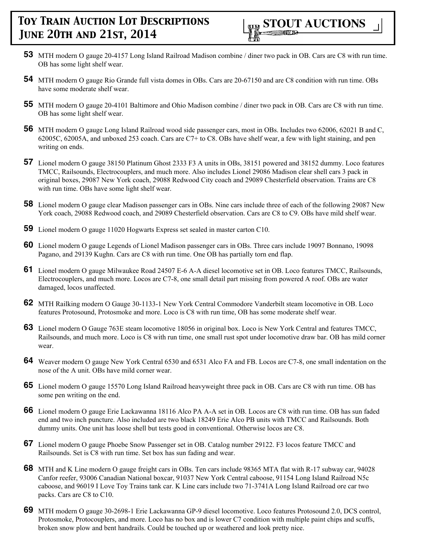- **53** MTH modern O gauge 20-4157 Long Island Railroad Madison combine / diner two pack in OB. Cars are C8 with run time. OB has some light shelf wear.
- **54** MTH modern O gauge Rio Grande full vista domes in OBs. Cars are 20-67150 and are C8 condition with run time. OBs have some moderate shelf wear.
- **55** MTH modern O gauge 20-4101 Baltimore and Ohio Madison combine / diner two pack in OB. Cars are C8 with run time. OB has some light shelf wear.
- **56** MTH modern O gauge Long Island Railroad wood side passenger cars, most in OBs. Includes two 62006, 62021 B and C, 62005C, 62005A, and unboxed 253 coach. Cars are C7+ to C8. OBs have shelf wear, a few with light staining, and pen writing on ends.
- **57** Lionel modern O gauge 38150 Platinum Ghost 2333 F3 A units in OBs, 38151 powered and 38152 dummy. Loco features TMCC, Railsounds, Electrocouplers, and much more. Also includes Lionel 29086 Madison clear shell cars 3 pack in original boxes, 29087 New York coach, 29088 Redwood City coach and 29089 Chesterfield observation. Trains are C8 with run time. OBs have some light shelf wear.
- **58** Lionel modern O gauge clear Madison passenger cars in OBs. Nine cars include three of each of the following 29087 New York coach, 29088 Redwood coach, and 29089 Chesterfield observation. Cars are C8 to C9. OBs have mild shelf wear.
- **59** Lionel modern O gauge 11020 Hogwarts Express set sealed in master carton C10.
- **60** Lionel modern O gauge Legends of Lionel Madison passenger cars in OBs. Three cars include 19097 Bonnano, 19098 Pagano, and 29139 Kughn. Cars are C8 with run time. One OB has partially torn end flap.
- **61** Lionel modern O gauge Milwaukee Road 24507 E-6 A-A diesel locomotive set in OB. Loco features TMCC, Railsounds, Electrocouplers, and much more. Locos are C7-8, one small detail part missing from powered A roof. OBs are water damaged, locos unaffected.
- **62** MTH Railking modern O Gauge 30-1133-1 New York Central Commodore Vanderbilt steam locomotive in OB. Loco features Protosound, Protosmoke and more. Loco is C8 with run time, OB has some moderate shelf wear.
- **63** Lionel modern O Gauge 763E steam locomotive 18056 in original box. Loco is New York Central and features TMCC, Railsounds, and much more. Loco is C8 with run time, one small rust spot under locomotive draw bar. OB has mild corner wear.
- **64** Weaver modern O gauge New York Central 6530 and 6531 Alco FA and FB. Locos are C7-8, one small indentation on the nose of the A unit. OBs have mild corner wear.
- **65** Lionel modern O gauge 15570 Long Island Railroad heavyweight three pack in OB. Cars are C8 with run time. OB has some pen writing on the end.
- **66** Lionel modern O gauge Erie Lackawanna 18116 Alco PA A-A set in OB. Locos are C8 with run time. OB has sun faded end and two inch puncture. Also included are two black 18249 Erie Alco PB units with TMCC and Railsounds. Both dummy units. One unit has loose shell but tests good in conventional. Otherwise locos are C8.
- **67** Lionel modern O gauge Phoebe Snow Passenger set in OB. Catalog number 29122. F3 locos feature TMCC and Railsounds. Set is C8 with run time. Set box has sun fading and wear.
- **68** MTH and K Line modern O gauge freight cars in OBs. Ten cars include 98365 MTA flat with R-17 subway car, 94028 Canfor reefer, 93006 Canadian National boxcar, 91037 New York Central caboose, 91154 Long Island Railroad N5c caboose, and 96019 I Love Toy Trains tank car. K Line cars include two 71-3741A Long Island Railroad ore car two packs. Cars are C8 to C10.
- **69** MTH modern O gauge 30-2698-1 Erie Lackawanna GP-9 diesel locomotive. Loco features Protosound 2.0, DCS control, Protosmoke, Protocouplers, and more. Loco has no box and is lower C7 condition with multiple paint chips and scuffs, broken snow plow and bent handrails. Could be touched up or weathered and look pretty nice.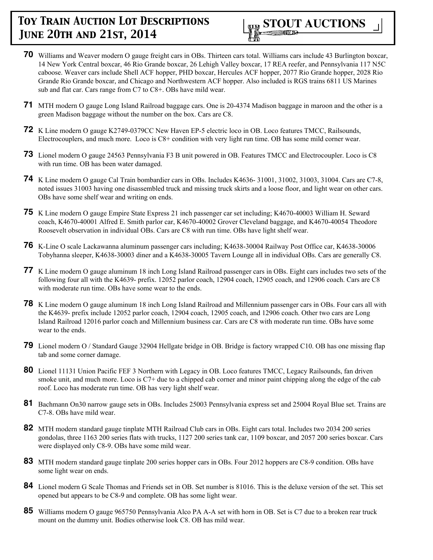

- **70** Williams and Weaver modern O gauge freight cars in OBs. Thirteen cars total. Williams cars include 43 Burlington boxcar, 14 New York Central boxcar, 46 Rio Grande boxcar, 26 Lehigh Valley boxcar, 17 REA reefer, and Pennsylvania 117 N5C caboose. Weaver cars include Shell ACF hopper, PHD boxcar, Hercules ACF hopper, 2077 Rio Grande hopper, 2028 Rio Grande Rio Grande boxcar, and Chicago and Northwestern ACF hopper. Also included is RGS trains 6811 US Marines sub and flat car. Cars range from C7 to C8+. OBs have mild wear.
- **71** MTH modern O gauge Long Island Railroad baggage cars. One is 20-4374 Madison baggage in maroon and the other is a green Madison baggage without the number on the box. Cars are C8.
- **72** K Line modern O gauge K2749-0379CC New Haven EP-5 electric loco in OB. Loco features TMCC, Railsounds, Electrocouplers, and much more. Loco is C8+ condition with very light run time. OB has some mild corner wear.
- **73** Lionel modern O gauge 24563 Pennsylvania F3 B unit powered in OB. Features TMCC and Electrocoupler. Loco is C8 with run time. OB has been water damaged.
- **74** K Line modern O gauge Cal Train bombardier cars in OBs. Includes K4636- 31001, 31002, 31003, 31004. Cars are C7-8, noted issues 31003 having one disassembled truck and missing truck skirts and a loose floor, and light wear on other cars. OBs have some shelf wear and writing on ends.
- **75** K Line modern O gauge Empire State Express 21 inch passenger car set including; K4670-40003 William H. Seward coach, K4670-40001 Alfred E. Smith parlor car, K4670-40002 Grover Cleveland baggage, and K4670-40054 Theodore Roosevelt observation in individual OBs. Cars are C8 with run time. OBs have light shelf wear.
- **76** K-Line O scale Lackawanna aluminum passenger cars including; K4638-30004 Railway Post Office car, K4638-30006 Tobyhanna sleeper, K4638-30003 diner and a K4638-30005 Tavern Lounge all in individual OBs. Cars are generally C8.
- **77** K Line modern O gauge aluminum 18 inch Long Island Railroad passenger cars in OBs. Eight cars includes two sets of the following four all with the K4639- prefix. 12052 parlor coach, 12904 coach, 12905 coach, and 12906 coach. Cars are C8 with moderate run time. OBs have some wear to the ends.
- **78** K Line modern O gauge aluminum 18 inch Long Island Railroad and Millennium passenger cars in OBs. Four cars all with the K4639- prefix include 12052 parlor coach, 12904 coach, 12905 coach, and 12906 coach. Other two cars are Long Island Railroad 12016 parlor coach and Millennium business car. Cars are C8 with moderate run time. OBs have some wear to the ends.
- **79** Lionel modern O / Standard Gauge 32904 Hellgate bridge in OB. Bridge is factory wrapped C10. OB has one missing flap tab and some corner damage.
- **80** Lionel 11131 Union Pacific FEF 3 Northern with Legacy in OB. Loco features TMCC, Legacy Railsounds, fan driven smoke unit, and much more. Loco is C7+ due to a chipped cab corner and minor paint chipping along the edge of the cab roof. Loco has moderate run time. OB has very light shelf wear.
- **81** Bachmann On30 narrow gauge sets in OBs. Includes 25003 Pennsylvania express set and 25004 Royal Blue set. Trains are C7-8. OBs have mild wear.
- **82** MTH modern standard gauge tinplate MTH Railroad Club cars in OBs. Eight cars total. Includes two 2034 200 series gondolas, three 1163 200 series flats with trucks, 1127 200 series tank car, 1109 boxcar, and 2057 200 series boxcar. Cars were displayed only C8-9. OBs have some mild wear.
- **83** MTH modern standard gauge tinplate 200 series hopper cars in OBs. Four 2012 hoppers are C8-9 condition. OBs have some light wear on ends.
- **84** Lionel modern G Scale Thomas and Friends set in OB. Set number is 81016. This is the deluxe version of the set. This set opened but appears to be C8-9 and complete. OB has some light wear.
- **85** Williams modern O gauge 965750 Pennsylvania Alco PA A-A set with horn in OB. Set is C7 due to a broken rear truck mount on the dummy unit. Bodies otherwise look C8. OB has mild wear.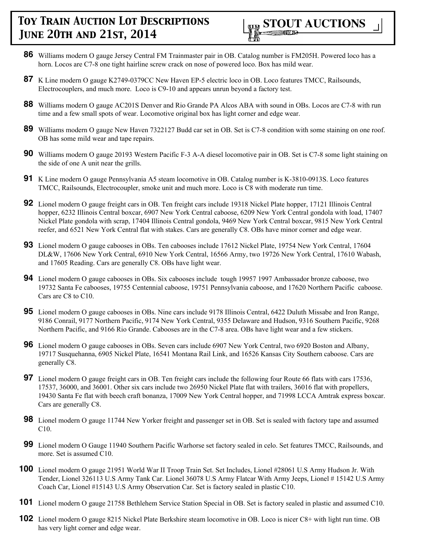

- **86** Williams modern O gauge Jersey Central FM Trainmaster pair in OB. Catalog number is FM205H. Powered loco has a horn. Locos are C7-8 one tight hairline screw crack on nose of powered loco. Box has mild wear.
- **87** K Line modern O gauge K2749-0379CC New Haven EP-5 electric loco in OB. Loco features TMCC, Railsounds, Electrocouplers, and much more. Loco is C9-10 and appears unrun beyond a factory test.
- **88** Williams modern O gauge AC201S Denver and Rio Grande PA Alcos ABA with sound in OBs. Locos are C7-8 with run time and a few small spots of wear. Locomotive original box has light corner and edge wear.
- **89** Williams modern O gauge New Haven 7322127 Budd car set in OB. Set is C7-8 condition with some staining on one roof. OB has some mild wear and tape repairs.
- **90** Williams modern O gauge 20193 Western Pacific F-3 A-A diesel locomotive pair in OB. Set is C7-8 some light staining on the side of one A unit near the grills.
- **91** K Line modern O gauge Pennsylvania A5 steam locomotive in OB. Catalog number is K-3810-0913S. Loco features TMCC, Railsounds, Electrocoupler, smoke unit and much more. Loco is C8 with moderate run time.
- **92** Lionel modern O gauge freight cars in OB. Ten freight cars include 19318 Nickel Plate hopper, 17121 Illinois Central hopper, 6232 Illinois Central boxcar, 6907 New York Central caboose, 6209 New York Central gondola with load, 17407 Nickel Plate gondola with scrap, 17404 Illinois Central gondola, 9469 New York Central boxcar, 9815 New York Central reefer, and 6521 New York Central flat with stakes. Cars are generally C8. OBs have minor corner and edge wear.
- **93** Lionel modern O gauge cabooses in OBs. Ten cabooses include 17612 Nickel Plate, 19754 New York Central, 17604 DL&W, 17606 New York Central, 6910 New York Central, 16566 Army, two 19726 New York Central, 17610 Wabash, and 17605 Reading. Cars are generally C8. OBs have light wear.
- **94** Lionel modern O gauge cabooses in OBs. Six cabooses include tough 19957 1997 Ambassador bronze caboose, two 19732 Santa Fe cabooses, 19755 Centennial caboose, 19751 Pennsylvania caboose, and 17620 Northern Pacific caboose. Cars are C8 to C10.
- **95** Lionel modern O gauge cabooses in OBs. Nine cars include 9178 Illinois Central, 6422 Duluth Missabe and Iron Range, 9186 Conrail, 9177 Northern Pacific, 9174 New York Central, 9355 Delaware and Hudson, 9316 Southern Pacific, 9268 Northern Pacific, and 9166 Rio Grande. Cabooses are in the C7-8 area. OBs have light wear and a few stickers.
- **96** Lionel modern O gauge cabooses in OBs. Seven cars include 6907 New York Central, two 6920 Boston and Albany, 19717 Susquehanna, 6905 Nickel Plate, 16541 Montana Rail Link, and 16526 Kansas City Southern caboose. Cars are generally C8.
- **97** Lionel modern O gauge freight cars in OB. Ten freight cars include the following four Route 66 flats with cars 17536, 17537, 36000, and 36001. Other six cars include two 26950 Nickel Plate flat with trailers, 36016 flat with propellers, 19430 Santa Fe flat with beech craft bonanza, 17009 New York Central hopper, and 71998 LCCA Amtrak express boxcar. Cars are generally C8.
- **98** Lionel modern O gauge 11744 New Yorker freight and passenger set in OB. Set is sealed with factory tape and assumed C10.
- **99** Lionel modern O Gauge 11940 Southern Pacific Warhorse set factory sealed in celo. Set features TMCC, Railsounds, and more. Set is assumed C10.
- **100** Lionel modern O gauge 21951 World War II Troop Train Set. Set Includes, Lionel #28061 U.S Army Hudson Jr. With Tender, Lionel 326113 U.S Army Tank Car. Lionel 36078 U.S Army Flatcar With Army Jeeps, Lionel # 15142 U.S Army Coach Car, Lionel #15143 U.S Army Observation Car. Set is factory sealed in plastic C10.
- **101** Lionel modern O gauge 21758 Bethlehem Service Station Special in OB. Set is factory sealed in plastic and assumed C10.
- **102** Lionel modern O gauge 8215 Nickel Plate Berkshire steam locomotive in OB. Loco is nicer C8+ with light run time. OB has very light corner and edge wear.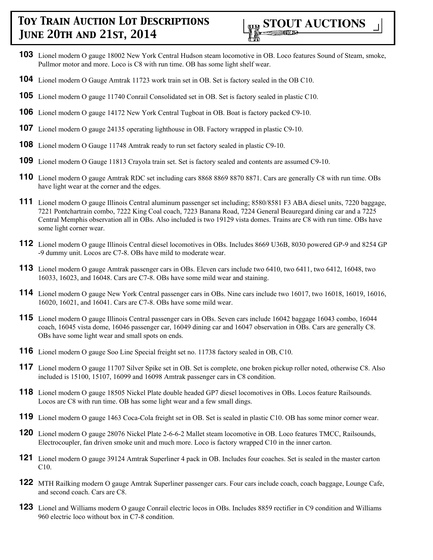

- **103** Lionel modern O gauge 18002 New York Central Hudson steam locomotive in OB. Loco features Sound of Steam, smoke, Pullmor motor and more. Loco is C8 with run time. OB has some light shelf wear.
- **104** Lionel modern O Gauge Amtrak 11723 work train set in OB. Set is factory sealed in the OB C10.
- **105** Lionel modern O gauge 11740 Conrail Consolidated set in OB. Set is factory sealed in plastic C10.
- **106** Lionel modern O gauge 14172 New York Central Tugboat in OB. Boat is factory packed C9-10.
- **107** Lionel modern O gauge 24135 operating lighthouse in OB. Factory wrapped in plastic C9-10.
- **108** Lionel modern O Gauge 11748 Amtrak ready to run set factory sealed in plastic C9-10.
- **109** Lionel modern O Gauge 11813 Crayola train set. Set is factory sealed and contents are assumed C9-10.
- **110** Lionel modern O gauge Amtrak RDC set including cars 8868 8869 8870 8871. Cars are generally C8 with run time. OBs have light wear at the corner and the edges.
- **111** Lionel modern O gauge Illinois Central aluminum passenger set including; 8580/8581 F3 ABA diesel units, 7220 baggage, 7221 Pontchartrain combo, 7222 King Coal coach, 7223 Banana Road, 7224 General Beauregard dining car and a 7225 Central Memphis observation all in OBs. Also included is two 19129 vista domes. Trains are C8 with run time. OBs have some light corner wear.
- **112** Lionel modern O gauge Illinois Central diesel locomotives in OBs. Includes 8669 U36B, 8030 powered GP-9 and 8254 GP -9 dummy unit. Locos are C7-8. OBs have mild to moderate wear.
- **113** Lionel modern O gauge Amtrak passenger cars in OBs. Eleven cars include two 6410, two 6411, two 6412, 16048, two 16033, 16023, and 16048. Cars are C7-8. OBs have some mild wear and staining.
- **114** Lionel modern O gauge New York Central passenger cars in OBs. Nine cars include two 16017, two 16018, 16019, 16016, 16020, 16021, and 16041. Cars are C7-8. OBs have some mild wear.
- **115** Lionel modern O gauge Illinois Central passenger cars in OBs. Seven cars include 16042 baggage 16043 combo, 16044 coach, 16045 vista dome, 16046 passenger car, 16049 dining car and 16047 observation in OBs. Cars are generally C8. OBs have some light wear and small spots on ends.
- **116** Lionel modern O gauge Soo Line Special freight set no. 11738 factory sealed in OB, C10.
- **117** Lionel modern O gauge 11707 Silver Spike set in OB. Set is complete, one broken pickup roller noted, otherwise C8. Also included is 15100, 15107, 16099 and 16098 Amtrak passenger cars in C8 condition.
- **118** Lionel modern O gauge 18505 Nickel Plate double headed GP7 diesel locomotives in OBs. Locos feature Railsounds. Locos are C8 with run time. OB has some light wear and a few small dings.
- **119** Lionel modern O gauge 1463 Coca-Cola freight set in OB. Set is sealed in plastic C10. OB has some minor corner wear.
- **120** Lionel modern O gauge 28076 Nickel Plate 2-6-6-2 Mallet steam locomotive in OB. Loco features TMCC, Railsounds, Electrocoupler, fan driven smoke unit and much more. Loco is factory wrapped C10 in the inner carton.
- **121** Lionel modern O gauge 39124 Amtrak Superliner 4 pack in OB. Includes four coaches. Set is sealed in the master carton C10.
- **122** MTH Railking modern O gauge Amtrak Superliner passenger cars. Four cars include coach, coach baggage, Lounge Cafe, and second coach. Cars are C8.
- **123** Lionel and Williams modern O gauge Conrail electric locos in OBs. Includes 8859 rectifier in C9 condition and Williams 960 electric loco without box in C7-8 condition.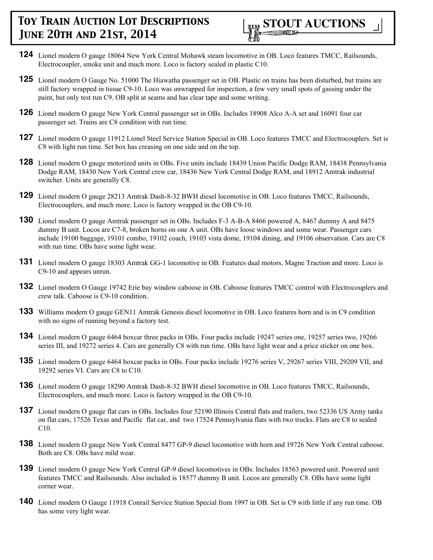

- **124** Lionel modern O gauge 18064 New York Central Mohawk steam locomotive in OB. Loco features TMCC, Railsounds, Electrocoupler, smoke unit and much more. Loco is factory sealed in plastic C10.
- **125** Lionel modern O Gauge No. 51000 The Hiawatha passenger set in OB. Plastic on trains has been disturbed, but trains are still factory wrapped in tissue C9-10. Loco was unwrapped for inspection, a few very small spots of gassing under the paint, but only test run C9. OB split at seams and has clear tape and some writing.
- **126** Lionel modern O gauge New York Central passenger set in OBs. Includes 18908 Alco A-A set and 16091 four car passenger set. Trains are C8 condition with run time.
- 127 Lionel modern O gauge 11912 Lionel Steel Service Station Special in OB. Loco features TMCC and Electrocouplers. Set is C8 with light run time. Set box has creasing on one side and on the top.
- **128** Lionel modern O gauge motorized units in OBs. Five units include 18439 Union Pacific Dodge RAM, 18438 Pennsylvania Dodge RAM, 18430 New York Central crew car, 18436 New York Central Dodge RAM, and 18912 Amtrak industrial switcher. Units are generally C8.
- **129** Lionel modern O gauge 28213 Amtrak Dash-8-32 BWH diesel locomotive in OB. Loco features TMCC, Railsounds, Electrocouplers, and much more. Loco is factory wrapped in the OB C9-10.
- **130** Lionel modern O gauge Amtrak passenger set in OBs. Includes F-3 A-B-A 8466 powered A, 8467 dummy A and 8475 dummy B unit. Locos are C7-8, broken horns on one A unit. OBs have loose windows and some wear. Passenger cars include 19100 baggage, 19101 combo, 19102 coach, 19103 vista dome, 19104 dining, and 19106 observation. Cars are C8 with run time. OBs have some light wear.
- **131** Lionel modern O gauge 18303 Amtrak GG-1 locomotive in OB. Features dual motors, Magne Traction and more. Loco is C9-10 and appears unrun.
- **132** Lionel modern O Gauge 19742 Erie bay window caboose in OB. Caboose features TMCC control with Electrocouplers and crew talk. Caboose is C9-10 condition.
- **133** Williams modern O gauge GEN11 Amtrak Genesis diesel locomotive in OB. Loco features horn and is in C9 condition with no signs of running beyond a factory test.
- **134** Lionel modern O gauge 6464 boxcar three packs in OBs. Four packs include 19247 series one, 19257 series two, 19266 series III, and 19272 series 4. Cars are generally C8 with run time. OBs have light wear and a price sticker on one box.
- **135** Lionel modern O gauge 6464 boxcar packs in OBs. Four packs include 19276 series V, 29267 series VIII, 29209 VII, and 19292 series VI. Cars are C8 to C10.
- **136** Lionel modern O gauge 18290 Amtrak Dash-8-32 BWH diesel locomotive in OB. Loco features TMCC, Railsounds, Electrocouplers, and much more. Loco is factory wrapped in the OB C9-10.
- **137** Lionel modern O gauge flat cars in OBs. Includes four 52190 Illinois Central flats and trailers, two 52336 US Army tanks on flat cars, 17526 Texas and Pacific flat car, and two 17524 Pennsylvania flats with two trucks. Flats are C8 to sealed C10.
- **138** Lionel modern O gauge New York Central 8477 GP-9 diesel locomotive with horn and 19726 New York Central caboose. Both are C8. OBs have mild wear.
- **139** Lionel modern O gauge New York Central GP-9 diesel locomotives in OBs. Includes 18563 powered unit. Powered unit features TMCC and Railsounds. Also included is 18577 dummy B unit. Locos are generally C8. OBs have some light corner wear.
- **140** Lionel modern O Gauge 11918 Conrail Service Station Special from 1997 in OB. Set is C9 with little if any run time. OB has some very light wear.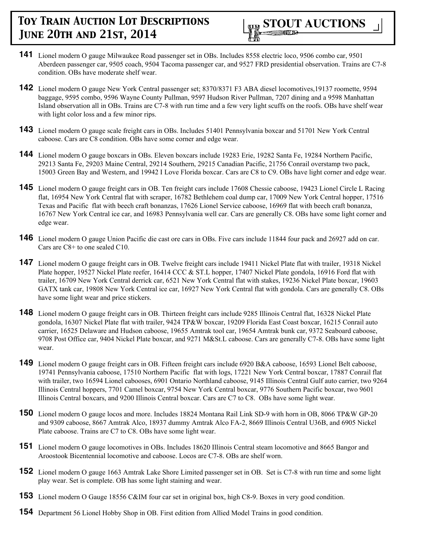

- **141** Lionel modern O gauge Milwaukee Road passenger set in OBs. Includes 8558 electric loco, 9506 combo car, 9501 Aberdeen passenger car, 9505 coach, 9504 Tacoma passenger car, and 9527 FRD presidential observation. Trains are C7-8 condition. OBs have moderate shelf wear.
- **142** Lionel modern O gauge New York Central passenger set; 8370/8371 F3 ABA diesel locomotives,19137 roomette, 9594 baggage, 9595 combo, 9596 Wayne County Pullman, 9597 Hudson River Pullman, 7207 dining and a 9598 Manhattan Island observation all in OBs. Trains are C7-8 with run time and a few very light scuffs on the roofs. OBs have shelf wear with light color loss and a few minor rips.
- **143** Lionel modern O gauge scale freight cars in OBs. Includes 51401 Pennsylvania boxcar and 51701 New York Central caboose. Cars are C8 condition. OBs have some corner and edge wear.
- **144** Lionel modern O gauge boxcars in OBs. Eleven boxcars include 19283 Erie, 19282 Santa Fe, 19284 Northern Pacific, 29213 Santa Fe, 29203 Maine Central, 29214 Southern, 29215 Canadian Pacific, 21756 Conrail overstamp two pack, 15003 Green Bay and Western, and 19942 I Love Florida boxcar. Cars are C8 to C9. OBs have light corner and edge wear.
- **145** Lionel modern O gauge freight cars in OB. Ten freight cars include 17608 Chessie caboose, 19423 Lionel Circle L Racing flat, 16954 New York Central flat with scraper, 16782 Bethlehem coal dump car, 17009 New York Central hopper, 17516 Texas and Pacific flat with beech craft bonanzas, 17626 Lionel Service caboose, 16969 flat with beech craft bonanza, 16767 New York Central ice car, and 16983 Pennsylvania well car. Cars are generally C8. OBs have some light corner and edge wear.
- **146** Lionel modern O gauge Union Pacific die cast ore cars in OBs. Five cars include 11844 four pack and 26927 add on car. Cars are C8+ to one sealed C10.
- **147** Lionel modern O gauge freight cars in OB. Twelve freight cars include 19411 Nickel Plate flat with trailer, 19318 Nickel Plate hopper, 19527 Nickel Plate reefer, 16414 CCC & ST.L hopper, 17407 Nickel Plate gondola, 16916 Ford flat with trailer, 16709 New York Central derrick car, 6521 New York Central flat with stakes, 19236 Nickel Plate boxcar, 19603 GATX tank car, 19808 New York Central ice car, 16927 New York Central flat with gondola. Cars are generally C8. OBs have some light wear and price stickers.
- **148** Lionel modern O gauge freight cars in OB. Thirteen freight cars include 9285 Illinois Central flat, 16328 Nickel Plate gondola, 16307 Nickel Plate flat with trailer, 9424 TP&W boxcar, 19209 Florida East Coast boxcar, 16215 Conrail auto carrier, 16525 Delaware and Hudson caboose, 19655 Amtrak tool car, 19654 Amtrak bunk car, 9372 Seaboard caboose, 9708 Post Office car, 9404 Nickel Plate boxcar, and 9271 M&St.L caboose. Cars are generally C7-8. OBs have some light wear.
- **149** Lionel modern O gauge freight cars in OB. Fifteen freight cars include 6920 B&A caboose, 16593 Lionel Belt caboose, 19741 Pennsylvania caboose, 17510 Northern Pacific flat with logs, 17221 New York Central boxcar, 17887 Conrail flat with trailer, two 16594 Lionel cabooses, 6901 Ontario Northland caboose, 9145 Illinois Central Gulf auto carrier, two 9264 Illinois Central hoppers, 7701 Camel boxcar, 9754 New York Central boxcar, 9776 Southern Pacific boxcar, two 9601 Illinois Central boxcars, and 9200 Illinois Central boxcar. Cars are C7 to C8. OBs have some light wear.
- **150** Lionel modern O gauge locos and more. Includes 18824 Montana Rail Link SD-9 with horn in OB, 8066 TP&W GP-20 and 9309 caboose, 8667 Amtrak Alco, 18937 dummy Amtrak Alco FA-2, 8669 Illinois Central U36B, and 6905 Nickel Plate caboose. Trains are C7 to C8. OBs have some light wear.
- **151** Lionel modern O gauge locomotives in OBs. Includes 18620 Illinois Central steam locomotive and 8665 Bangor and Aroostook Bicentennial locomotive and caboose. Locos are C7-8. OBs are shelf worn.
- **152** Lionel modern O gauge 1663 Amtrak Lake Shore Limited passenger set in OB. Set is C7-8 with run time and some light play wear. Set is complete. OB has some light staining and wear.
- **153** Lionel modern O Gauge 18556 C&IM four car set in original box, high C8-9. Boxes in very good condition.
- **154** Department 56 Lionel Hobby Shop in OB. First edition from Allied Model Trains in good condition.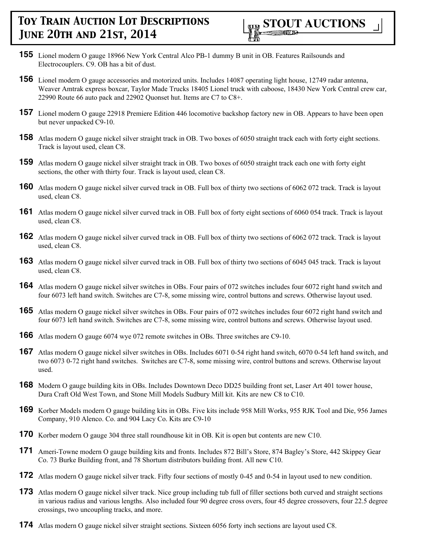- **155** Lionel modern O gauge 18966 New York Central Alco PB-1 dummy B unit in OB. Features Railsounds and Electrocouplers. C9. OB has a bit of dust.
- **156** Lionel modern O gauge accessories and motorized units. Includes 14087 operating light house, 12749 radar antenna, Weaver Amtrak express boxcar, Taylor Made Trucks 18405 Lionel truck with caboose, 18430 New York Central crew car, 22990 Route 66 auto pack and 22902 Quonset hut. Items are C7 to C8+.
- **157** Lionel modern O gauge 22918 Premiere Edition 446 locomotive backshop factory new in OB. Appears to have been open but never unpacked C9-10.
- **158** Atlas modern O gauge nickel silver straight track in OB. Two boxes of 6050 straight track each with forty eight sections. Track is layout used, clean C8.
- **159** Atlas modern O gauge nickel silver straight track in OB. Two boxes of 6050 straight track each one with forty eight sections, the other with thirty four. Track is layout used, clean C8.
- **160** Atlas modern O gauge nickel silver curved track in OB. Full box of thirty two sections of 6062 072 track. Track is layout used, clean C8.
- **161** Atlas modern O gauge nickel silver curved track in OB. Full box of forty eight sections of 6060 054 track. Track is layout used, clean C8.
- **162** Atlas modern O gauge nickel silver curved track in OB. Full box of thirty two sections of 6062 072 track. Track is layout used, clean C8.
- **163** Atlas modern O gauge nickel silver curved track in OB. Full box of thirty two sections of 6045 045 track. Track is layout used, clean C8.
- **164** Atlas modern O gauge nickel silver switches in OBs. Four pairs of 072 switches includes four 6072 right hand switch and four 6073 left hand switch. Switches are C7-8, some missing wire, control buttons and screws. Otherwise layout used.
- **165** Atlas modern O gauge nickel silver switches in OBs. Four pairs of 072 switches includes four 6072 right hand switch and four 6073 left hand switch. Switches are C7-8, some missing wire, control buttons and screws. Otherwise layout used.
- **166** Atlas modern O gauge 6074 wye 072 remote switches in OBs. Three switches are C9-10.
- **167** Atlas modern O gauge nickel silver switches in OBs. Includes 6071 0-54 right hand switch, 6070 0-54 left hand switch, and two 6073 0-72 right hand switches. Switches are C7-8, some missing wire, control buttons and screws. Otherwise layout used.
- **168** Modern O gauge building kits in OBs. Includes Downtown Deco DD25 building front set, Laser Art 401 tower house, Dura Craft Old West Town, and Stone Mill Models Sudbury Mill kit. Kits are new C8 to C10.
- **169** Korber Models modern O gauge building kits in OBs. Five kits include 958 Mill Works, 955 RJK Tool and Die, 956 James Company, 910 Alenco. Co. and 904 Lacy Co. Kits are C9-10
- **170** Korber modern O gauge 304 three stall roundhouse kit in OB. Kit is open but contents are new C10.
- **171** Ameri-Towne modern O gauge building kits and fronts. Includes 872 Bill's Store, 874 Bagley's Store, 442 Skippey Gear Co. 73 Burke Building front, and 78 Shortum distributors building front. All new C10.
- **172** Atlas modern O gauge nickel silver track. Fifty four sections of mostly 0-45 and 0-54 in layout used to new condition.
- **173** Atlas modern O gauge nickel silver track. Nice group including tub full of filler sections both curved and straight sections in various radius and various lengths. Also included four 90 degree cross overs, four 45 degree crossovers, four 22.5 degree crossings, two uncoupling tracks, and more.
- **174** Atlas modern O gauge nickel silver straight sections. Sixteen 6056 forty inch sections are layout used C8.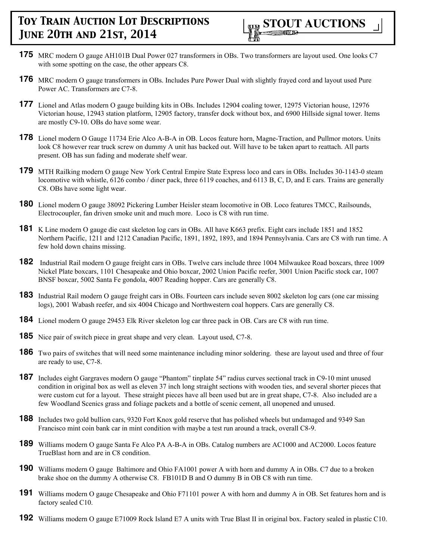- **175** MRC modern O gauge AH101B Dual Power 027 transformers in OBs. Two transformers are layout used. One looks C7 with some spotting on the case, the other appears C8.
- **176** MRC modern O gauge transformers in OBs. Includes Pure Power Dual with slightly frayed cord and layout used Pure Power AC. Transformers are C7-8.
- **177** Lionel and Atlas modern O gauge building kits in OBs. Includes 12904 coaling tower, 12975 Victorian house, 12976 Victorian house, 12943 station platform, 12905 factory, transfer dock without box, and 6900 Hillside signal tower. Items are mostly C9-10. OBs do have some wear.
- **178** Lionel modern O Gauge 11734 Erie Alco A-B-A in OB. Locos feature horn, Magne-Traction, and Pullmor motors. Units look C8 however rear truck screw on dummy A unit has backed out. Will have to be taken apart to reattach. All parts present. OB has sun fading and moderate shelf wear.
- **179** MTH Railking modern O gauge New York Central Empire State Express loco and cars in OBs. Includes 30-1143-0 steam locomotive with whistle, 6126 combo / diner pack, three 6119 coaches, and 6113 B, C, D, and E cars. Trains are generally C8. OBs have some light wear.
- **180** Lionel modern O gauge 38092 Pickering Lumber Heisler steam locomotive in OB. Loco features TMCC, Railsounds, Electrocoupler, fan driven smoke unit and much more. Loco is C8 with run time.
- **181** K Line modern O gauge die cast skeleton log cars in OBs. All have K663 prefix. Eight cars include 1851 and 1852 Northern Pacific, 1211 and 1212 Canadian Pacific, 1891, 1892, 1893, and 1894 Pennsylvania. Cars are C8 with run time. A few hold down chains missing.
- **182** Industrial Rail modern O gauge freight cars in OBs. Twelve cars include three 1004 Milwaukee Road boxcars, three 1009 Nickel Plate boxcars, 1101 Chesapeake and Ohio boxcar, 2002 Union Pacific reefer, 3001 Union Pacific stock car, 1007 BNSF boxcar, 5002 Santa Fe gondola, 4007 Reading hopper. Cars are generally C8.
- **183** Industrial Rail modern O gauge freight cars in OBs. Fourteen cars include seven 8002 skeleton log cars (one car missing logs), 2001 Wabash reefer, and six 4004 Chicago and Northwestern coal hoppers. Cars are generally C8.
- **184** Lionel modern O gauge 29453 Elk River skeleton log car three pack in OB. Cars are C8 with run time.
- **185** Nice pair of switch piece in great shape and very clean. Layout used, C7-8.
- **186** Two pairs of switches that will need some maintenance including minor soldering. these are layout used and three of four are ready to use, C7-8.
- **187** Includes eight Gargraves modern O gauge "Phantom" tinplate 54" radius curves sectional track in C9-10 mint unused condition in original box as well as eleven 37 inch long straight sections with wooden ties, and several shorter pieces that were custom cut for a layout. These straight pieces have all been used but are in great shape, C7-8. Also included are a few Woodland Scenics grass and foliage packets and a bottle of scenic cement, all unopened and unused.
- **188** Includes two gold bullion cars, 9320 Fort Knox gold reserve that has polished wheels but undamaged and 9349 San Francisco mint coin bank car in mint condition with maybe a test run around a track, overall C8-9.
- **189** Williams modern O gauge Santa Fe Alco PA A-B-A in OBs. Catalog numbers are AC1000 and AC2000. Locos feature TrueBlast horn and are in C8 condition.
- **190** Williams modern O gauge Baltimore and Ohio FA1001 power A with horn and dummy A in OBs. C7 due to a broken brake shoe on the dummy A otherwise C8. FB101D B and O dummy B in OB C8 with run time.
- **191** Williams modern O gauge Chesapeake and Ohio F71101 power A with horn and dummy A in OB. Set features horn and is factory sealed C10.
- **192** Williams modern O gauge E71009 Rock Island E7 A units with True Blast II in original box. Factory sealed in plastic C10.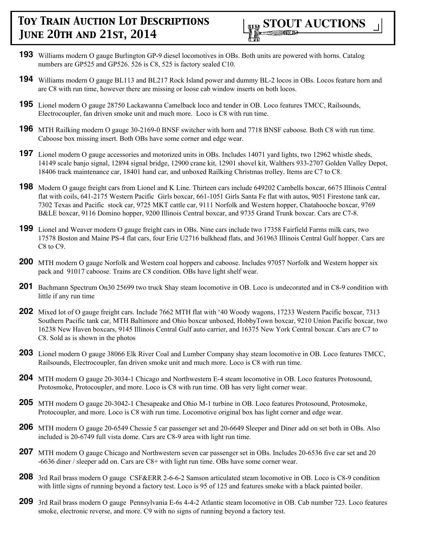

- **193** Williams modern O gauge Burlington GP-9 diesel locomotives in OBs. Both units are powered with horns. Catalog numbers are GP525 and GP526. 526 is C8, 525 is factory sealed C10.
- **194** Williams modern O gauge BL113 and BL217 Rock Island power and dummy BL-2 locos in OBs. Locos feature horn and are C8 with run time, however there are missing or loose cab window inserts on both locos.
- **195** Lionel modern O gauge 28750 Lackawanna Camelback loco and tender in OB. Loco features TMCC, Railsounds, Electrocoupler, fan driven smoke unit and much more. Loco is C8 with run time.
- **196** MTH Railking modern O gauge 30-2169-0 BNSF switcher with horn and 7718 BNSF caboose. Both C8 with run time. Caboose box missing insert. Both OBs have some corner and edge wear.
- **197** Lionel modern O gauge accessories and motorized units in OBs. Includes 14071 yard lights, two 12962 whistle sheds, 14149 scale banjo signal, 12894 signal bridge, 12900 crane kit, 12901 shovel kit, Walthers 933-2707 Golden Valley Depot, 18406 track maintenance car, 18401 hand car, and unboxed Railking Christmas trolley. Items are C7 to C8.
- **198** Modern O gauge freight cars from Lionel and K Line. Thirteen cars include 649202 Cambells boxcar, 6675 Illinois Central flat with coils, 641-2175 Western Pacific Girls boxcar, 661-1051 Girls Santa Fe flat with autos, 9051 Firestone tank car, 7302 Texas and Pacific stock car, 9725 MKT cattle car, 9111 Norfolk and Western hopper, Chatahooche boxcar, 9769 B&LE boxcar, 9116 Domino hopper, 9200 Illinois Central boxcar, and 9735 Grand Trunk boxcar. Cars are C7-8.
- **199** Lionel and Weaver modern O gauge freight cars in OBs. Nine cars include two 17358 Fairfield Farms milk cars, two 17578 Boston and Maine PS-4 flat cars, four Erie U2716 bulkhead flats, and 361963 Illinois Central Gulf hopper. Cars are C<sub>8</sub> to C<sub>9</sub>.
- **200** MTH modern O gauge Norfolk and Western coal hoppers and caboose. Includes 97057 Norfolk and Western hopper six pack and 91017 caboose. Trains are C8 condition. OBs have light shelf wear.
- **201** Bachmann Spectrum On30 25699 two truck Shay steam locomotive in OB. Loco is undecorated and in C8-9 condition with little if any run time
- **202** Mixed lot of O gauge freight cars. Include 7662 MTH flat with '40 Woody wagons, 17233 Western Pacific boxcar, 7313 Southern Pacific tank car, MTH Baltimore and Ohio boxcar unboxed, HobbyTown boxcar, 9210 Union Pacific boxcar, two 16238 New Haven boxcars, 9145 Illinois Central Gulf auto carrier, and 16375 New York Central boxcar. Cars are C7 to C8. Sold as is shown in the photos
- **203** Lionel modern O gauge 38066 Elk River Coal and Lumber Company shay steam locomotive in OB. Loco features TMCC, Railsounds, Electrocoupler, fan driven smoke unit and much more. Loco is C8 with run time.
- **204** MTH modern O gauge 20-3034-1 Chicago and Northwestern E-4 steam locomotive in OB. Loco features Protosound, Protosmoke, Protocoupler, and more. Loco is C8 with run time. OB has very light corner wear.
- **205** MTH modern O gauge 20-3042-1 Chesapeake and Ohio M-1 turbine in OB. Loco features Protosound, Protosmoke, Protocoupler, and more. Loco is C8 with run time. Locomotive original box has light corner and edge wear.
- **206** MTH modern O gauge 20-6549 Chessie 5 car passenger set and 20-6649 Sleeper and Diner add on set both in OBs. Also included is 20-6749 full vista dome. Cars are C8-9 area with light run time.
- **207** MTH modern O gauge Chicago and Northwestern seven car passenger set in OBs. Includes 20-6536 five car set and 20 -6636 diner / sleeper add on. Cars are C8+ with light run time. OBs have some corner wear.
- **208** 3rd Rail brass modern O gauge CSF&ERR 2-6-6-2 Samson articulated steam locomotive in OB. Loco is C8-9 condition with little signs of running beyond a factory test. Loco is 95 of 125 and features smoke with a black painted boiler.
- **209** 3rd Rail brass modern O gauge Pennsylvania E-6s 4-4-2 Atlantic steam locomotive in OB. Cab number 723. Loco features smoke, electronic reverse, and more. C9 with no signs of running beyond a factory test.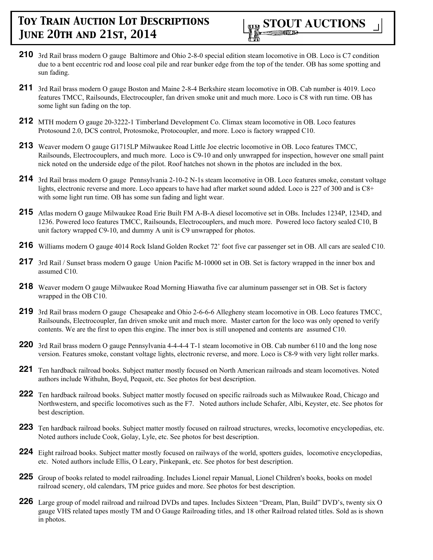

- **210** 3rd Rail brass modern O gauge Baltimore and Ohio 2-8-0 special edition steam locomotive in OB. Loco is C7 condition due to a bent eccentric rod and loose coal pile and rear bunker edge from the top of the tender. OB has some spotting and sun fading.
- **211** 3rd Rail brass modern O gauge Boston and Maine 2-8-4 Berkshire steam locomotive in OB. Cab number is 4019. Loco features TMCC, Railsounds, Electrocoupler, fan driven smoke unit and much more. Loco is C8 with run time. OB has some light sun fading on the top.
- **212** MTH modern O gauge 20-3222-1 Timberland Development Co. Climax steam locomotive in OB. Loco features Protosound 2.0, DCS control, Protosmoke, Protocoupler, and more. Loco is factory wrapped C10.
- **213** Weaver modern O gauge G1715LP Milwaukee Road Little Joe electric locomotive in OB. Loco features TMCC, Railsounds, Electrocouplers, and much more. Loco is C9-10 and only unwrapped for inspection, however one small paint nick noted on the underside edge of the pilot. Roof hatches not shown in the photos are included in the box.
- **214** 3rd Rail brass modern O gauge Pennsylvania 2-10-2 N-1s steam locomotive in OB. Loco features smoke, constant voltage lights, electronic reverse and more. Loco appears to have had after market sound added. Loco is 227 of 300 and is C8+ with some light run time. OB has some sun fading and light wear.
- **215** Atlas modern O gauge Milwaukee Road Erie Built FM A-B-A diesel locomotive set in OBs. Includes 1234P, 1234D, and 1236. Powered loco features TMCC, Railsounds, Electrocouplers, and much more. Powered loco factory sealed C10, B unit factory wrapped C9-10, and dummy A unit is C9 unwrapped for photos.
- **216** Williams modern O gauge 4014 Rock Island Golden Rocket 72' foot five car passenger set in OB. All cars are sealed C10.
- **217** 3rd Rail / Sunset brass modern O gauge Union Pacific M-10000 set in OB. Set is factory wrapped in the inner box and assumed C10.
- **218** Weaver modern O gauge Milwaukee Road Morning Hiawatha five car aluminum passenger set in OB. Set is factory wrapped in the OB C10.
- **219** 3rd Rail brass modern O gauge Chesapeake and Ohio 2-6-6-6 Allegheny steam locomotive in OB. Loco features TMCC, Railsounds, Electrocoupler, fan driven smoke unit and much more. Master carton for the loco was only opened to verify contents. We are the first to open this engine. The inner box is still unopened and contents are assumed C10.
- **220** 3rd Rail brass modern O gauge Pennsylvania 4-4-4-4 T-1 steam locomotive in OB. Cab number 6110 and the long nose version. Features smoke, constant voltage lights, electronic reverse, and more. Loco is C8-9 with very light roller marks.
- **221** Ten hardback railroad books. Subject matter mostly focused on North American railroads and steam locomotives. Noted authors include Withuhn, Boyd, Pequoit, etc. See photos for best description.
- **222** Ten hardback railroad books. Subject matter mostly focused on specific railroads such as Milwaukee Road, Chicago and Northwestern, and specific locomotives such as the F7. Noted authors include Schafer, Albi, Keyster, etc. See photos for best description.
- **223** Ten hardback railroad books. Subject matter mostly focused on railroad structures, wrecks, locomotive encyclopedias, etc. Noted authors include Cook, Golay, Lyle, etc. See photos for best description.
- **224** Eight railroad books. Subject matter mostly focused on railways of the world, spotters guides, locomotive encyclopedias, etc. Noted authors include Ellis, O Leary, Pinkepank, etc. See photos for best description.
- **225** Group of books related to model railroading. Includes Lionel repair Manual, Lionel Children's books, books on model railroad scenery, old calendars, TM price guides and more. See photos for best description.
- **226** Large group of model railroad and railroad DVDs and tapes. Includes Sixteen "Dream, Plan, Build" DVD's, twenty six O gauge VHS related tapes mostly TM and O Gauge Railroading titles, and 18 other Railroad related titles. Sold as is shown in photos.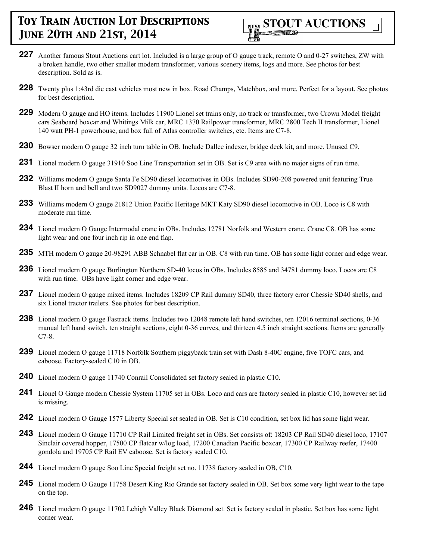

- **227** Another famous Stout Auctions cart lot. Included is a large group of O gauge track, remote O and 0-27 switches, ZW with a broken handle, two other smaller modern transformer, various scenery items, logs and more. See photos for best description. Sold as is.
- **228** Twenty plus 1:43rd die cast vehicles most new in box. Road Champs, Matchbox, and more. Perfect for a layout. See photos for best description.
- **229** Modern O gauge and HO items. Includes 11900 Lionel set trains only, no track or transformer, two Crown Model freight cars Seaboard boxcar and Whitings Milk car, MRC 1370 Railpower transformer, MRC 2800 Tech II transformer, Lionel 140 watt PH-1 powerhouse, and box full of Atlas controller switches, etc. Items are C7-8.
- **230** Bowser modern O gauge 32 inch turn table in OB. Include Dallee indexer, bridge deck kit, and more. Unused C9.
- **231** Lionel modern O gauge 31910 Soo Line Transportation set in OB. Set is C9 area with no major signs of run time.
- **232** Williams modern O gauge Santa Fe SD90 diesel locomotives in OBs. Includes SD90-208 powered unit featuring True Blast II horn and bell and two SD9027 dummy units. Locos are C7-8.
- **233** Williams modern O gauge 21812 Union Pacific Heritage MKT Katy SD90 diesel locomotive in OB. Loco is C8 with moderate run time.
- **234** Lionel modern O Gauge Intermodal crane in OBs. Includes 12781 Norfolk and Western crane. Crane C8. OB has some light wear and one four inch rip in one end flap.
- **235** MTH modern O gauge 20-98291 ABB Schnabel flat car in OB. C8 with run time. OB has some light corner and edge wear.
- **236** Lionel modern O gauge Burlington Northern SD-40 locos in OBs. Includes 8585 and 34781 dummy loco. Locos are C8 with run time. OBs have light corner and edge wear.
- **237** Lionel modern O gauge mixed items. Includes 18209 CP Rail dummy SD40, three factory error Chessie SD40 shells, and six Lionel tractor trailers. See photos for best description.
- **238** Lionel modern O gauge Fastrack items. Includes two 12048 remote left hand switches, ten 12016 terminal sections, 0-36 manual left hand switch, ten straight sections, eight 0-36 curves, and thirteen 4.5 inch straight sections. Items are generally C7-8.
- **239** Lionel modern O gauge 11718 Norfolk Southern piggyback train set with Dash 8-40C engine, five TOFC cars, and caboose. Factory-sealed C10 in OB.
- **240** Lionel modern O gauge 11740 Conrail Consolidated set factory sealed in plastic C10.
- **241** Lionel O Gauge modern Chessie System 11705 set in OBs. Loco and cars are factory sealed in plastic C10, however set lid is missing.
- **242** Lionel modern O Gauge 1577 Liberty Special set sealed in OB. Set is C10 condition, set box lid has some light wear.
- **243** Lionel modern O Gauge 11710 CP Rail Limited freight set in OBs. Set consists of: 18203 CP Rail SD40 diesel loco, 17107 Sinclair covered hopper, 17500 CP flatcar w/log load, 17200 Canadian Pacific boxcar, 17300 CP Railway reefer, 17400 gondola and 19705 CP Rail EV caboose. Set is factory sealed C10.
- **244** Lionel modern O gauge Soo Line Special freight set no. 11738 factory sealed in OB, C10.
- **245** Lionel modern O Gauge 11758 Desert King Rio Grande set factory sealed in OB. Set box some very light wear to the tape on the top.
- **246** Lionel modern O gauge 11702 Lehigh Valley Black Diamond set. Set is factory sealed in plastic. Set box has some light corner wear.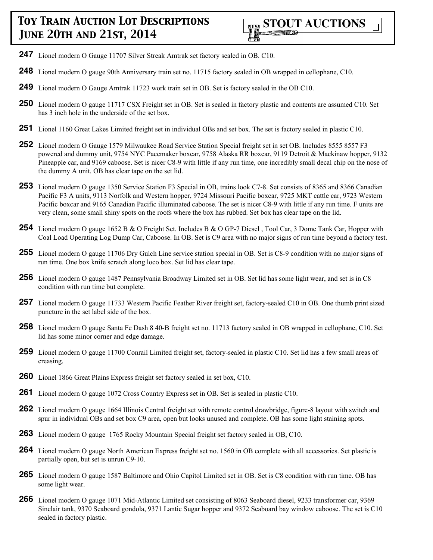- **247** Lionel modern O Gauge 11707 Silver Streak Amtrak set factory sealed in OB. C10.
- **248** Lionel modern O gauge 90th Anniversary train set no. 11715 factory sealed in OB wrapped in cellophane, C10.
- **249** Lionel modern O Gauge Amtrak 11723 work train set in OB. Set is factory sealed in the OB C10.
- **250** Lionel modern O gauge 11717 CSX Freight set in OB. Set is sealed in factory plastic and contents are assumed C10. Set has 3 inch hole in the underside of the set box.
- **251** Lionel 1160 Great Lakes Limited freight set in individual OBs and set box. The set is factory sealed in plastic C10.
- **252** Lionel modern O Gauge 1579 Milwaukee Road Service Station Special freight set in set OB. Includes 8555 8557 F3 powered and dummy unit, 9754 NYC Pacemaker boxcar, 9758 Alaska RR boxcar, 9119 Detroit & Mackinaw hopper, 9132 Pineapple car, and 9169 caboose. Set is nicer C8-9 with little if any run time, one incredibly small decal chip on the nose of the dummy A unit. OB has clear tape on the set lid.
- **253** Lionel modern O gauge 1350 Service Station F3 Special in OB, trains look C7-8. Set consists of 8365 and 8366 Canadian Pacific F3 A units, 9113 Norfolk and Western hopper, 9724 Missouri Pacific boxcar, 9725 MKT cattle car, 9723 Western Pacific boxcar and 9165 Canadian Pacific illuminated caboose. The set is nicer C8-9 with little if any run time. F units are very clean, some small shiny spots on the roofs where the box has rubbed. Set box has clear tape on the lid.
- **254** Lionel modern O gauge 1652 B & O Freight Set. Includes B & O GP-7 Diesel, Tool Car, 3 Dome Tank Car, Hopper with Coal Load Operating Log Dump Car, Caboose. In OB. Set is C9 area with no major signs of run time beyond a factory test.
- **255** Lionel modern O gauge 11706 Dry Gulch Line service station special in OB. Set is C8-9 condition with no major signs of run time. One box knife scratch along loco box. Set lid has clear tape.
- **256** Lionel modern O gauge 1487 Pennsylvania Broadway Limited set in OB. Set lid has some light wear, and set is in C8 condition with run time but complete.
- **257** Lionel modern O gauge 11733 Western Pacific Feather River freight set, factory-sealed C10 in OB. One thumb print sized puncture in the set label side of the box.
- **258** Lionel modern O gauge Santa Fe Dash 8 40-B freight set no. 11713 factory sealed in OB wrapped in cellophane, C10. Set lid has some minor corner and edge damage.
- **259** Lionel modern O gauge 11700 Conrail Limited freight set, factory-sealed in plastic C10. Set lid has a few small areas of creasing.
- **260** Lionel 1866 Great Plains Express freight set factory sealed in set box, C10.
- **261** Lionel modern O gauge 1072 Cross Country Express set in OB. Set is sealed in plastic C10.
- **262** Lionel modern O gauge 1664 Illinois Central freight set with remote control drawbridge, figure-8 layout with switch and spur in individual OBs and set box C9 area, open but looks unused and complete. OB has some light staining spots.
- **263** Lionel modern O gauge 1765 Rocky Mountain Special freight set factory sealed in OB, C10.
- **264** Lionel modern O gauge North American Express freight set no. 1560 in OB complete with all accessories. Set plastic is partially open, but set is unrun C9-10.
- **265** Lionel modern O gauge 1587 Baltimore and Ohio Capitol Limited set in OB. Set is C8 condition with run time. OB has some light wear.
- **266** Lionel modern O gauge 1071 Mid-Atlantic Limited set consisting of 8063 Seaboard diesel, 9233 transformer car, 9369 Sinclair tank, 9370 Seaboard gondola, 9371 Lantic Sugar hopper and 9372 Seaboard bay window caboose. The set is C10 sealed in factory plastic.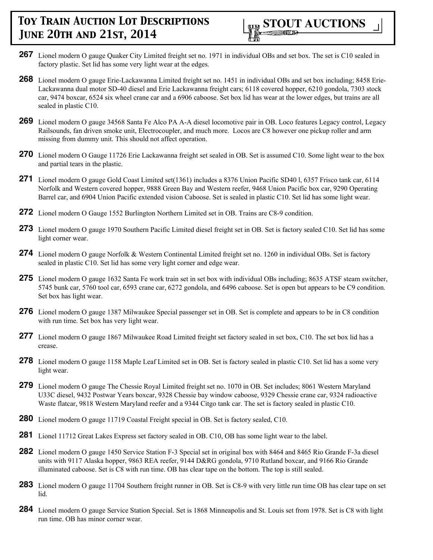- **267** Lionel modern O gauge Quaker City Limited freight set no. 1971 in individual OBs and set box. The set is C10 sealed in factory plastic. Set lid has some very light wear at the edges.
- **268** Lionel modern O gauge Erie-Lackawanna Limited freight set no. 1451 in individual OBs and set box including; 8458 Erie-Lackawanna dual motor SD-40 diesel and Erie Lackawanna freight cars; 6118 covered hopper, 6210 gondola, 7303 stock car, 9474 boxcar, 6524 six wheel crane car and a 6906 caboose. Set box lid has wear at the lower edges, but trains are all sealed in plastic C10.
- **269** Lionel modern O gauge 34568 Santa Fe Alco PA A-A diesel locomotive pair in OB. Loco features Legacy control, Legacy Railsounds, fan driven smoke unit, Electrocoupler, and much more. Locos are C8 however one pickup roller and arm missing from dummy unit. This should not affect operation.
- **270** Lionel modern O Gauge 11726 Erie Lackawanna freight set sealed in OB. Set is assumed C10. Some light wear to the box and partial tears in the plastic.
- **271** Lionel modern O gauge Gold Coast Limited set(1361) includes a 8376 Union Pacific SD40 l, 6357 Frisco tank car, 6114 Norfolk and Western covered hopper, 9888 Green Bay and Western reefer, 9468 Union Pacific box car, 9290 Operating Barrel car, and 6904 Union Pacific extended vision Caboose. Set is sealed in plastic C10. Set lid has some light wear.
- **272** Lionel modern O Gauge 1552 Burlington Northern Limited set in OB. Trains are C8-9 condition.
- **273** Lionel modern O gauge 1970 Southern Pacific Limited diesel freight set in OB. Set is factory sealed C10. Set lid has some light corner wear.
- **274** Lionel modern O gauge Norfolk & Western Continental Limited freight set no. 1260 in individual OBs. Set is factory sealed in plastic C10. Set lid has some very light corner and edge wear.
- **275** Lionel modern O gauge 1632 Santa Fe work train set in set box with individual OBs including; 8635 ATSF steam switcher, 5745 bunk car, 5760 tool car, 6593 crane car, 6272 gondola, and 6496 caboose. Set is open but appears to be C9 condition. Set box has light wear.
- **276** Lionel modern O gauge 1387 Milwaukee Special passenger set in OB. Set is complete and appears to be in C8 condition with run time. Set box has very light wear.
- **277** Lionel modern O gauge 1867 Milwaukee Road Limited freight set factory sealed in set box, C10. The set box lid has a crease.
- **278** Lionel modern O gauge 1158 Maple Leaf Limited set in OB. Set is factory sealed in plastic C10. Set lid has a some very light wear.
- **279** Lionel modern O gauge The Chessie Royal Limited freight set no. 1070 in OB. Set includes; 8061 Western Maryland U33C diesel, 9432 Postwar Years boxcar, 9328 Chessie bay window caboose, 9329 Chessie crane car, 9324 radioactive Waste flatcar, 9818 Western Maryland reefer and a 9344 Citgo tank car. The set is factory sealed in plastic C10.
- **280** Lionel modern O gauge 11719 Coastal Freight special in OB. Set is factory sealed, C10.
- **281** Lionel 11712 Great Lakes Express set factory sealed in OB. C10, OB has some light wear to the label.
- **282** Lionel modern O gauge 1450 Service Station F-3 Special set in original box with 8464 and 8465 Rio Grande F-3a diesel units with 9117 Alaska hopper, 9863 REA reefer, 9144 D&RG gondola, 9710 Rutland boxcar, and 9166 Rio Grande illuminated caboose. Set is C8 with run time. OB has clear tape on the bottom. The top is still sealed.
- **283** Lionel modern O gauge 11704 Southern freight runner in OB. Set is C8-9 with very little run time OB has clear tape on set lid.
- **284** Lionel modern O gauge Service Station Special. Set is 1868 Minneapolis and St. Louis set from 1978. Set is C8 with light run time. OB has minor corner wear.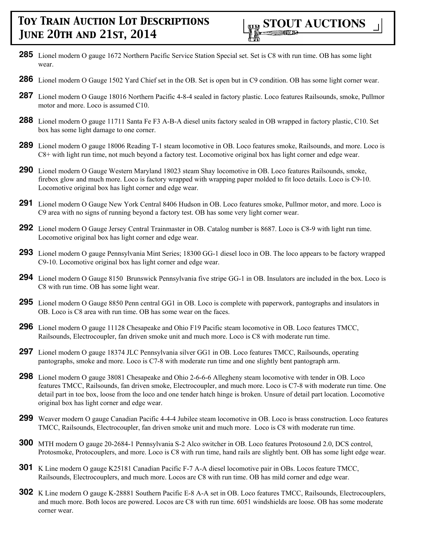- **285** Lionel modern O gauge 1672 Northern Pacific Service Station Special set. Set is C8 with run time. OB has some light wear.
- **286** Lionel modern O Gauge 1502 Yard Chief set in the OB. Set is open but in C9 condition. OB has some light corner wear.
- **287** Lionel modern O Gauge 18016 Northern Pacific 4-8-4 sealed in factory plastic. Loco features Railsounds, smoke, Pullmor motor and more. Loco is assumed C10.
- **288** Lionel modern O gauge 11711 Santa Fe F3 A-B-A diesel units factory sealed in OB wrapped in factory plastic, C10. Set box has some light damage to one corner.
- **289** Lionel modern O gauge 18006 Reading T-1 steam locomotive in OB. Loco features smoke, Railsounds, and more. Loco is C8+ with light run time, not much beyond a factory test. Locomotive original box has light corner and edge wear.
- **290** Lionel modern O Gauge Western Maryland 18023 steam Shay locomotive in OB. Loco features Railsounds, smoke, firebox glow and much more. Loco is factory wrapped with wrapping paper molded to fit loco details. Loco is C9-10. Locomotive original box has light corner and edge wear.
- **291** Lionel modern O Gauge New York Central 8406 Hudson in OB. Loco features smoke, Pullmor motor, and more. Loco is C9 area with no signs of running beyond a factory test. OB has some very light corner wear.
- **292** Lionel modern O Gauge Jersey Central Trainmaster in OB. Catalog number is 8687. Loco is C8-9 with light run time. Locomotive original box has light corner and edge wear.
- **293** Lionel modern O gauge Pennsylvania Mint Series; 18300 GG-1 diesel loco in OB. The loco appears to be factory wrapped C9-10. Locomotive original box has light corner and edge wear.
- **294** Lionel modern O Gauge 8150 Brunswick Pennsylvania five stripe GG-1 in OB. Insulators are included in the box. Loco is C8 with run time. OB has some light wear.
- **295** Lionel modern O Gauge 8850 Penn central GG1 in OB. Loco is complete with paperwork, pantographs and insulators in OB. Loco is C8 area with run time. OB has some wear on the faces.
- **296** Lionel modern O gauge 11128 Chesapeake and Ohio F19 Pacific steam locomotive in OB. Loco features TMCC, Railsounds, Electrocoupler, fan driven smoke unit and much more. Loco is C8 with moderate run time.
- **297** Lionel modern O gauge 18374 JLC Pennsylvania silver GG1 in OB. Loco features TMCC, Railsounds, operating pantographs, smoke and more. Loco is C7-8 with moderate run time and one slightly bent pantograph arm.
- **298** Lionel modern O gauge 38081 Chesapeake and Ohio 2-6-6-6 Allegheny steam locomotive with tender in OB. Loco features TMCC, Railsounds, fan driven smoke, Electrocoupler, and much more. Loco is C7-8 with moderate run time. One detail part in toe box, loose from the loco and one tender hatch hinge is broken. Unsure of detail part location. Locomotive original box has light corner and edge wear.
- **299** Weaver modern O gauge Canadian Pacific 4-4-4 Jubilee steam locomotive in OB. Loco is brass construction. Loco features TMCC, Railsounds, Electrocoupler, fan driven smoke unit and much more. Loco is C8 with moderate run time.
- **300** MTH modern O gauge 20-2684-1 Pennsylvania S-2 Alco switcher in OB. Loco features Protosound 2.0, DCS control, Protosmoke, Protocouplers, and more. Loco is C8 with run time, hand rails are slightly bent. OB has some light edge wear.
- **301** K Line modern O gauge K25181 Canadian Pacific F-7 A-A diesel locomotive pair in OBs. Locos feature TMCC, Railsounds, Electrocouplers, and much more. Locos are C8 with run time. OB has mild corner and edge wear.
- **302** K Line modern O gauge K-28881 Southern Pacific E-8 A-A set in OB. Loco features TMCC, Railsounds, Electrocouplers, and much more. Both locos are powered. Locos are C8 with run time. 6051 windshields are loose. OB has some moderate corner wear.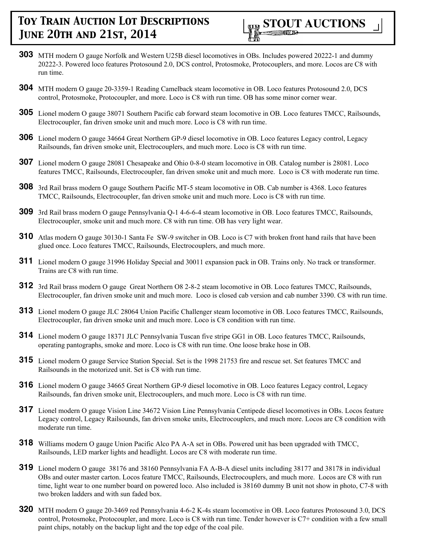

- **303** MTH modern O gauge Norfolk and Western U25B diesel locomotives in OBs. Includes powered 20222-1 and dummy 20222-3. Powered loco features Protosound 2.0, DCS control, Protosmoke, Protocouplers, and more. Locos are C8 with run time.
- **304** MTH modern O gauge 20-3359-1 Reading Camelback steam locomotive in OB. Loco features Protosound 2.0, DCS control, Protosmoke, Protocoupler, and more. Loco is C8 with run time. OB has some minor corner wear.
- **305** Lionel modern O gauge 38071 Southern Pacific cab forward steam locomotive in OB. Loco features TMCC, Railsounds, Electrocoupler, fan driven smoke unit and much more. Loco is C8 with run time.
- **306** Lionel modern O gauge 34664 Great Northern GP-9 diesel locomotive in OB. Loco features Legacy control, Legacy Railsounds, fan driven smoke unit, Electrocouplers, and much more. Loco is C8 with run time.
- **307** Lionel modern O gauge 28081 Chesapeake and Ohio 0-8-0 steam locomotive in OB. Catalog number is 28081. Loco features TMCC, Railsounds, Electrocoupler, fan driven smoke unit and much more. Loco is C8 with moderate run time.
- **308** 3rd Rail brass modern O gauge Southern Pacific MT-5 steam locomotive in OB. Cab number is 4368. Loco features TMCC, Railsounds, Electrocoupler, fan driven smoke unit and much more. Loco is C8 with run time.
- **309** 3rd Rail brass modern O gauge Pennsylvania Q-1 4-6-6-4 steam locomotive in OB. Loco features TMCC, Railsounds, Electrocoupler, smoke unit and much more. C8 with run time. OB has very light wear.
- **310** Atlas modern O gauge 30130-1 Santa Fe SW-9 switcher in OB. Loco is C7 with broken front hand rails that have been glued once. Loco features TMCC, Railsounds, Electrocouplers, and much more.
- **311** Lionel modern O gauge 31996 Holiday Special and 30011 expansion pack in OB. Trains only. No track or transformer. Trains are C8 with run time.
- **312** 3rd Rail brass modern O gauge Great Northern O8 2-8-2 steam locomotive in OB. Loco features TMCC, Railsounds, Electrocoupler, fan driven smoke unit and much more. Loco is closed cab version and cab number 3390. C8 with run time.
- **313** Lionel modern O gauge JLC 28064 Union Pacific Challenger steam locomotive in OB. Loco features TMCC, Railsounds, Electrocoupler, fan driven smoke unit and much more. Loco is C8 condition with run time.
- **314** Lionel modern O gauge 18371 JLC Pennsylvania Tuscan five stripe GG1 in OB. Loco features TMCC, Railsounds, operating pantographs, smoke and more. Loco is C8 with run time. One loose brake hose in OB.
- **315** Lionel modern O gauge Service Station Special. Set is the 1998 21753 fire and rescue set. Set features TMCC and Railsounds in the motorized unit. Set is C8 with run time.
- **316** Lionel modern O gauge 34665 Great Northern GP-9 diesel locomotive in OB. Loco features Legacy control, Legacy Railsounds, fan driven smoke unit, Electrocouplers, and much more. Loco is C8 with run time.
- **317** Lionel modern O gauge Vision Line 34672 Vision Line Pennsylvania Centipede diesel locomotives in OBs. Locos feature Legacy control, Legacy Railsounds, fan driven smoke units, Electrocouplers, and much more. Locos are C8 condition with moderate run time.
- **318** Williams modern O gauge Union Pacific Alco PA A-A set in OBs. Powered unit has been upgraded with TMCC, Railsounds, LED marker lights and headlight. Locos are C8 with moderate run time.
- **319** Lionel modern O gauge 38176 and 38160 Pennsylvania FA A-B-A diesel units including 38177 and 38178 in individual OBs and outer master carton. Locos feature TMCC, Railsounds, Electrocouplers, and much more. Locos are C8 with run time, light wear to one number board on powered loco. Also included is 38160 dummy B unit not show in photo, C7-8 with two broken ladders and with sun faded box.
- **320** MTH modern O gauge 20-3469 red Pennsylvania 4-6-2 K-4s steam locomotive in OB. Loco features Protosound 3.0, DCS control, Protosmoke, Protocoupler, and more. Loco is C8 with run time. Tender however is C7+ condition with a few small paint chips, notably on the backup light and the top edge of the coal pile.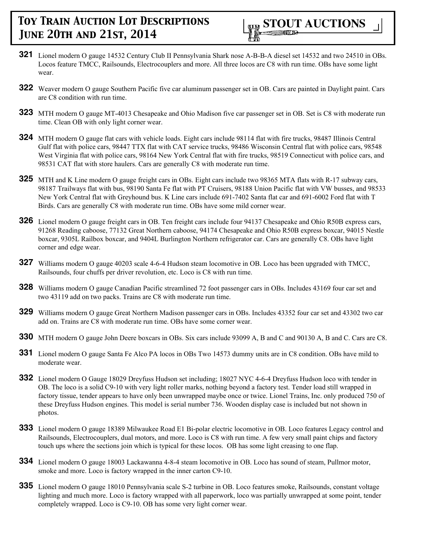

- **321** Lionel modern O gauge 14532 Century Club II Pennsylvania Shark nose A-B-B-A diesel set 14532 and two 24510 in OBs. Locos feature TMCC, Railsounds, Electrocouplers and more. All three locos are C8 with run time. OBs have some light wear.
- **322** Weaver modern O gauge Southern Pacific five car aluminum passenger set in OB. Cars are painted in Daylight paint. Cars are C8 condition with run time.
- **323** MTH modern O gauge MT-4013 Chesapeake and Ohio Madison five car passenger set in OB. Set is C8 with moderate run time. Clean OB with only light corner wear.
- **324** MTH modern O gauge flat cars with vehicle loads. Eight cars include 98114 flat with fire trucks, 98487 Illinois Central Gulf flat with police cars, 98447 TTX flat with CAT service trucks, 98486 Wisconsin Central flat with police cars, 98548 West Virginia flat with police cars, 98164 New York Central flat with fire trucks, 98519 Connecticut with police cars, and 98531 CAT flat with store haulers. Cars are generally C8 with moderate run time.
- **325** MTH and K Line modern O gauge freight cars in OBs. Eight cars include two 98365 MTA flats with R-17 subway cars, 98187 Trailways flat with bus, 98190 Santa Fe flat with PT Cruisers, 98188 Union Pacific flat with VW busses, and 98533 New York Central flat with Greyhound bus. K Line cars include 691-7402 Santa flat car and 691-6002 Ford flat with T Birds. Cars are generally C8 with moderate run time. OBs have some mild corner wear.
- **326** Lionel modern O gauge freight cars in OB. Ten freight cars include four 94137 Chesapeake and Ohio R50B express cars, 91268 Reading caboose, 77132 Great Northern caboose, 94174 Chesapeake and Ohio R50B express boxcar, 94015 Nestle boxcar, 9305L Railbox boxcar, and 9404L Burlington Northern refrigerator car. Cars are generally C8. OBs have light corner and edge wear.
- **327** Williams modern O gauge 40203 scale 4-6-4 Hudson steam locomotive in OB. Loco has been upgraded with TMCC, Railsounds, four chuffs per driver revolution, etc. Loco is C8 with run time.
- **328** Williams modern O gauge Canadian Pacific streamlined 72 foot passenger cars in OBs. Includes 43169 four car set and two 43119 add on two packs. Trains are C8 with moderate run time.
- **329** Williams modern O gauge Great Northern Madison passenger cars in OBs. Includes 43352 four car set and 43302 two car add on. Trains are C8 with moderate run time. OBs have some corner wear.
- **330** MTH modern O gauge John Deere boxcars in OBs. Six cars include 93099 A, B and C and 90130 A, B and C. Cars are C8.
- **331** Lionel modern O gauge Santa Fe Alco PA locos in OBs Two 14573 dummy units are in C8 condition. OBs have mild to moderate wear.
- **332** Lionel modern O Gauge 18029 Dreyfuss Hudson set including; 18027 NYC 4-6-4 Dreyfuss Hudson loco with tender in OB. The loco is a solid C9-10 with very light roller marks, nothing beyond a factory test. Tender load still wrapped in factory tissue, tender appears to have only been unwrapped maybe once or twice. Lionel Trains, Inc. only produced 750 of these Dreyfuss Hudson engines. This model is serial number 736. Wooden display case is included but not shown in photos.
- **333** Lionel modern O gauge 18389 Milwaukee Road E1 Bi-polar electric locomotive in OB. Loco features Legacy control and Railsounds, Electrocouplers, dual motors, and more. Loco is C8 with run time. A few very small paint chips and factory touch ups where the sections join which is typical for these locos. OB has some light creasing to one flap.
- **334** Lionel modern O gauge 18003 Lackawanna 4-8-4 steam locomotive in OB. Loco has sound of steam, Pullmor motor, smoke and more. Loco is factory wrapped in the inner carton C9-10.
- **335** Lionel modern O gauge 18010 Pennsylvania scale S-2 turbine in OB. Loco features smoke, Railsounds, constant voltage lighting and much more. Loco is factory wrapped with all paperwork, loco was partially unwrapped at some point, tender completely wrapped. Loco is C9-10. OB has some very light corner wear.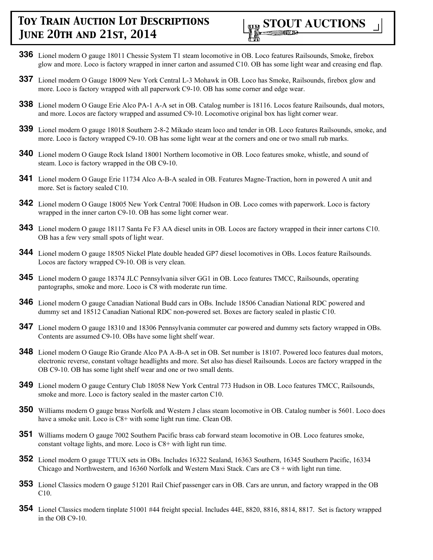

- **336** Lionel modern O gauge 18011 Chessie System T1 steam locomotive in OB. Loco features Railsounds, Smoke, firebox glow and more. Loco is factory wrapped in inner carton and assumed C10. OB has some light wear and creasing end flap.
- **337** Lionel modern O Gauge 18009 New York Central L-3 Mohawk in OB. Loco has Smoke, Railsounds, firebox glow and more. Loco is factory wrapped with all paperwork C9-10. OB has some corner and edge wear.
- **338** Lionel modern O Gauge Erie Alco PA-1 A-A set in OB. Catalog number is 18116. Locos feature Railsounds, dual motors, and more. Locos are factory wrapped and assumed C9-10. Locomotive original box has light corner wear.
- **339** Lionel modern O gauge 18018 Southern 2-8-2 Mikado steam loco and tender in OB. Loco features Railsounds, smoke, and more. Loco is factory wrapped C9-10. OB has some light wear at the corners and one or two small rub marks.
- **340** Lionel modern O Gauge Rock Island 18001 Northern locomotive in OB. Loco features smoke, whistle, and sound of steam. Loco is factory wrapped in the OB C9-10.
- **341** Lionel modern O Gauge Erie 11734 Alco A-B-A sealed in OB. Features Magne-Traction, horn in powered A unit and more. Set is factory sealed C10.
- **342** Lionel modern O Gauge 18005 New York Central 700E Hudson in OB. Loco comes with paperwork. Loco is factory wrapped in the inner carton C9-10. OB has some light corner wear.
- **343** Lionel modern O gauge 18117 Santa Fe F3 AA diesel units in OB. Locos are factory wrapped in their inner cartons C10. OB has a few very small spots of light wear.
- **344** Lionel modern O gauge 18505 Nickel Plate double headed GP7 diesel locomotives in OBs. Locos feature Railsounds. Locos are factory wrapped C9-10. OB is very clean.
- **345** Lionel modern O gauge 18374 JLC Pennsylvania silver GG1 in OB. Loco features TMCC, Railsounds, operating pantographs, smoke and more. Loco is C8 with moderate run time.
- **346** Lionel modern O gauge Canadian National Budd cars in OBs. Include 18506 Canadian National RDC powered and dummy set and 18512 Canadian National RDC non-powered set. Boxes are factory sealed in plastic C10.
- **347** Lionel modern O gauge 18310 and 18306 Pennsylvania commuter car powered and dummy sets factory wrapped in OBs. Contents are assumed C9-10. OBs have some light shelf wear.
- **348** Lionel modern O Gauge Rio Grande Alco PA A-B-A set in OB. Set number is 18107. Powered loco features dual motors, electronic reverse, constant voltage headlights and more. Set also has diesel Railsounds. Locos are factory wrapped in the OB C9-10. OB has some light shelf wear and one or two small dents.
- **349** Lionel modern O gauge Century Club 18058 New York Central 773 Hudson in OB. Loco features TMCC, Railsounds, smoke and more. Loco is factory sealed in the master carton C10.
- **350** Williams modern O gauge brass Norfolk and Western J class steam locomotive in OB. Catalog number is 5601. Loco does have a smoke unit. Loco is C8+ with some light run time. Clean OB.
- **351** Williams modern O gauge 7002 Southern Pacific brass cab forward steam locomotive in OB. Loco features smoke, constant voltage lights, and more. Loco is C8+ with light run time.
- **352** Lionel modern O gauge TTUX sets in OBs. Includes 16322 Sealand, 16363 Southern, 16345 Southern Pacific, 16334 Chicago and Northwestern, and 16360 Norfolk and Western Maxi Stack. Cars are C8 + with light run time.
- **353** Lionel Classics modern O gauge 51201 Rail Chief passenger cars in OB. Cars are unrun, and factory wrapped in the OB C10.
- **354** Lionel Classics modern tinplate 51001 #44 freight special. Includes 44E, 8820, 8816, 8814, 8817. Set is factory wrapped in the OB C9-10.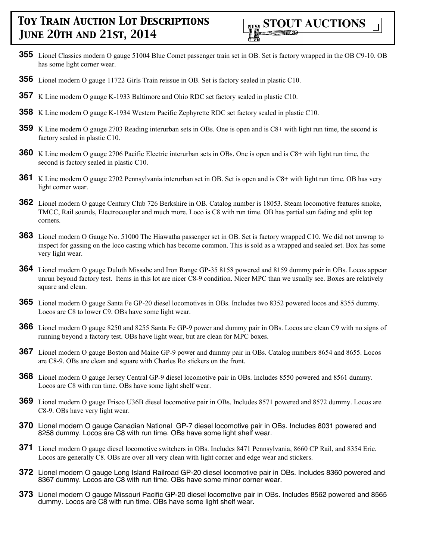

- **355** Lionel Classics modern O gauge 51004 Blue Comet passenger train set in OB. Set is factory wrapped in the OB C9-10. OB has some light corner wear.
- **356** Lionel modern O gauge 11722 Girls Train reissue in OB. Set is factory sealed in plastic C10.
- **357** K Line modern O gauge K-1933 Baltimore and Ohio RDC set factory sealed in plastic C10.
- **358** K Line modern O gauge K-1934 Western Pacific Zephyrette RDC set factory sealed in plastic C10.
- **359** K Line modern O gauge 2703 Reading interurban sets in OBs. One is open and is C8+ with light run time, the second is factory sealed in plastic C10.
- **360** K Line modern O gauge 2706 Pacific Electric interurban sets in OBs. One is open and is C8+ with light run time, the second is factory sealed in plastic C10.
- **361** K Line modern O gauge 2702 Pennsylvania interurban set in OB. Set is open and is C8+ with light run time. OB has very light corner wear.
- **362** Lionel modern O gauge Century Club 726 Berkshire in OB. Catalog number is 18053. Steam locomotive features smoke, TMCC, Rail sounds, Electrocoupler and much more. Loco is C8 with run time. OB has partial sun fading and split top corners.
- **363** Lionel modern O Gauge No. 51000 The Hiawatha passenger set in OB. Set is factory wrapped C10. We did not unwrap to inspect for gassing on the loco casting which has become common. This is sold as a wrapped and sealed set. Box has some very light wear.
- **364** Lionel modern O gauge Duluth Missabe and Iron Range GP-35 8158 powered and 8159 dummy pair in OBs. Locos appear unrun beyond factory test. Items in this lot are nicer C8-9 condition. Nicer MPC than we usually see. Boxes are relatively square and clean.
- **365** Lionel modern O gauge Santa Fe GP-20 diesel locomotives in OBs. Includes two 8352 powered locos and 8355 dummy. Locos are C8 to lower C9. OBs have some light wear.
- **366** Lionel modern O gauge 8250 and 8255 Santa Fe GP-9 power and dummy pair in OBs. Locos are clean C9 with no signs of running beyond a factory test. OBs have light wear, but are clean for MPC boxes.
- **367** Lionel modern O gauge Boston and Maine GP-9 power and dummy pair in OBs. Catalog numbers 8654 and 8655. Locos are C8-9. OBs are clean and square with Charles Ro stickers on the front.
- **368** Lionel modern O gauge Jersey Central GP-9 diesel locomotive pair in OBs. Includes 8550 powered and 8561 dummy. Locos are C8 with run time. OBs have some light shelf wear.
- **369** Lionel modern O gauge Frisco U36B diesel locomotive pair in OBs. Includes 8571 powered and 8572 dummy. Locos are C8-9. OBs have very light wear.
- **370** Lionel modern O gauge Canadian National GP-7 diesel locomotive pair in OBs. Includes 8031 powered and 8258 dummy. Locos are C8 with run time. OBs have some light shelf wear.
- **371** Lionel modern O gauge diesel locomotive switchers in OBs. Includes 8471 Pennsylvania, 8660 CP Rail, and 8354 Erie. Locos are generally C8. OBs are over all very clean with light corner and edge wear and stickers.
- **372** Lionel modern O gauge Long Island Railroad GP-20 diesel locomotive pair in OBs. Includes 8360 powered and 8367 dummy. Locos are C8 with run time. OBs have some minor corner wear.
- **373** Lionel modern O gauge Missouri Pacific GP-20 diesel locomotive pair in OBs. Includes 8562 powered and 8565 dummy. Locos are C8 with run time. OBs have some light shelf wear.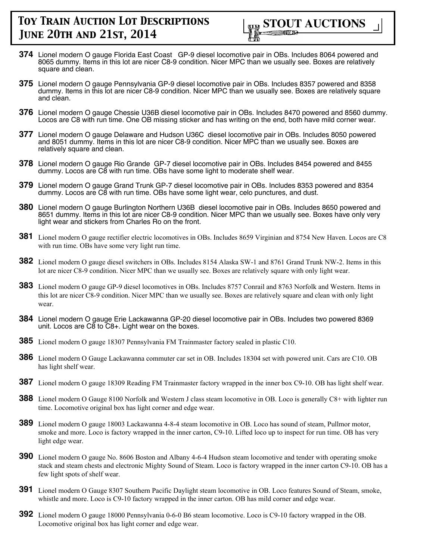

- **374** Lionel modern O gauge Florida East Coast GP-9 diesel locomotive pair in OBs. Includes 8064 powered and 8065 dummy. Items in this lot are nicer C8-9 condition. Nicer MPC than we usually see. Boxes are relatively square and clean.
- **375** Lionel modern O gauge Pennsylvania GP-9 diesel locomotive pair in OBs. Includes 8357 powered and 8358 dummy. Items in this lot are nicer C8-9 condition. Nicer MPC than we usually see. Boxes are relatively square and clean.
- **376** Lionel modern O gauge Chessie U36B diesel locomotive pair in OBs. Includes 8470 powered and 8560 dummy. Locos are C8 with run time. One OB missing sticker and has writing on the end, both have mild corner wear.
- **377** Lionel modern O gauge Delaware and Hudson U36C diesel locomotive pair in OBs. Includes 8050 powered and 8051 dummy. Items in this lot are nicer C8-9 condition. Nicer MPC than we usually see. Boxes are relatively square and clean.
- **378** Lionel modern O gauge Rio Grande GP-7 diesel locomotive pair in OBs. Includes 8454 powered and 8455 dummy. Locos are C8 with run time. OBs have some light to moderate shelf wear.
- **379** Lionel modern O gauge Grand Trunk GP-7 diesel locomotive pair in OBs. Includes 8353 powered and 8354 dummy. Locos are C8 with run time. OBs have some light wear, celo punctures, and dust.
- **380** Lionel modern O gauge Burlington Northern U36B diesel locomotive pair in OBs. Includes 8650 powered and 8651 dummy. Items in this lot are nicer C8-9 condition. Nicer MPC than we usually see. Boxes have only very light wear and stickers from Charles Ro on the front.
- **381** Lionel modern O gauge rectifier electric locomotives in OBs. Includes 8659 Virginian and 8754 New Haven. Locos are C8 with run time. OBs have some very light run time.
- **382** Lionel modern O gauge diesel switchers in OBs. Includes 8154 Alaska SW-1 and 8761 Grand Trunk NW-2. Items in this lot are nicer C8-9 condition. Nicer MPC than we usually see. Boxes are relatively square with only light wear.
- **383** Lionel modern O gauge GP-9 diesel locomotives in OBs. Includes 8757 Conrail and 8763 Norfolk and Western. Items in this lot are nicer C8-9 condition. Nicer MPC than we usually see. Boxes are relatively square and clean with only light wear.
- **384** Lionel modern O gauge Erie Lackawanna GP-20 diesel locomotive pair in OBs. Includes two powered 8369 unit. Locos are C8 to C8+. Light wear on the boxes.
- **385** Lionel modern O gauge 18307 Pennsylvania FM Trainmaster factory sealed in plastic C10.
- **386** Lionel modern O Gauge Lackawanna commuter car set in OB. Includes 18304 set with powered unit. Cars are C10. OB has light shelf wear.
- **387** Lionel modern O gauge 18309 Reading FM Trainmaster factory wrapped in the inner box C9-10. OB has light shelf wear.
- **388** Lionel modern O Gauge 8100 Norfolk and Western J class steam locomotive in OB. Loco is generally C8+ with lighter run time. Locomotive original box has light corner and edge wear.
- **389** Lionel modern O gauge 18003 Lackawanna 4-8-4 steam locomotive in OB. Loco has sound of steam, Pullmor motor, smoke and more. Loco is factory wrapped in the inner carton, C9-10. Lifted loco up to inspect for run time. OB has very light edge wear.
- **390** Lionel modern O gauge No. 8606 Boston and Albany 4-6-4 Hudson steam locomotive and tender with operating smoke stack and steam chests and electronic Mighty Sound of Steam. Loco is factory wrapped in the inner carton C9-10. OB has a few light spots of shelf wear.
- **391** Lionel modern O Gauge 8307 Southern Pacific Daylight steam locomotive in OB. Loco features Sound of Steam, smoke, whistle and more. Loco is C9-10 factory wrapped in the inner carton. OB has mild corner and edge wear.
- **392** Lionel modern O gauge 18000 Pennsylvania 0-6-0 B6 steam locomotive. Loco is C9-10 factory wrapped in the OB. Locomotive original box has light corner and edge wear.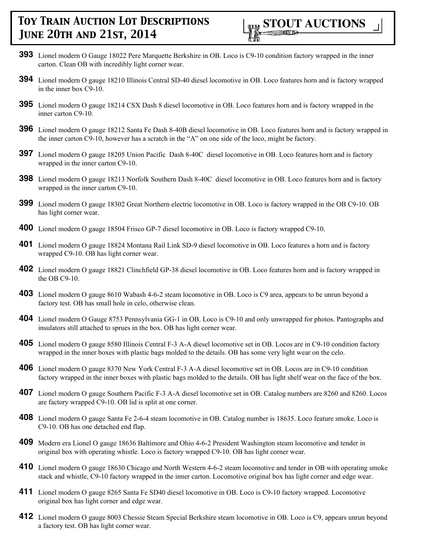- **393** Lionel modern O Gauge 18022 Pere Marquette Berkshire in OB. Loco is C9-10 condition factory wrapped in the inner carton. Clean OB with incredibly light corner wear.
- **394** Lionel modern O gauge 18210 Illinois Central SD-40 diesel locomotive in OB. Loco features horn and is factory wrapped in the inner box C9-10.
- **395** Lionel modern O gauge 18214 CSX Dash 8 diesel locomotive in OB. Loco features horn and is factory wrapped in the inner carton C9-10.
- **396** Lionel modern O gauge 18212 Santa Fe Dash 8-40B diesel locomotive in OB. Loco features horn and is factory wrapped in the inner carton C9-10, however has a scratch in the "A" on one side of the loco, might be factory.
- **397** Lionel modern O gauge 18205 Union Pacific Dash 8-40C diesel locomotive in OB. Loco features horn and is factory wrapped in the inner carton C9-10.
- **398** Lionel modern O gauge 18213 Norfolk Southern Dash 8-40C diesel locomotive in OB. Loco features horn and is factory wrapped in the inner carton C9-10.
- **399** Lionel modern O gauge 18302 Great Northern electric locomotive in OB. Loco is factory wrapped in the OB C9-10. OB has light corner wear.
- **400** Lionel modern O gauge 18504 Frisco GP-7 diesel locomotive in OB. Loco is factory wrapped C9-10.
- **401** Lionel modern O gauge 18824 Montana Rail Link SD-9 diesel locomotive in OB. Loco features a horn and is factory wrapped C9-10. OB has light corner wear.
- **402** Lionel modern O gauge 18821 Clinchfield GP-38 diesel locomotive in OB. Loco features horn and is factory wrapped in the OB C9-10.
- **403** Lionel modern O gauge 8610 Wabash 4-6-2 steam locomotive in OB. Loco is C9 area, appears to be unrun beyond a factory test. OB has small hole in celo, otherwise clean.
- **404** Lionel modern O Gauge 8753 Pennsylvania GG-1 in OB. Loco is C9-10 and only unwrapped for photos. Pantographs and insulators still attached to sprues in the box. OB has light corner wear.
- **405** Lionel modern O gauge 8580 Illinois Central F-3 A-A diesel locomotive set in OB. Locos are in C9-10 condition factory wrapped in the inner boxes with plastic bags molded to the details. OB has some very light wear on the celo.
- **406** Lionel modern O gauge 8370 New York Central F-3 A-A diesel locomotive set in OB. Locos are in C9-10 condition factory wrapped in the inner boxes with plastic bags molded to the details. OB has light shelf wear on the face of the box.
- **407** Lionel modern O gauge Southern Pacific F-3 A-A diesel locomotive set in OB. Catalog numbers are 8260 and 8260. Locos are factory wrapped C9-10. OB lid is split at one corner.
- **408** Lionel modern O gauge Santa Fe 2-6-4 steam locomotive in OB. Catalog number is 18635. Loco feature smoke. Loco is C9-10. OB has one detached end flap.
- **409** Modern era Lionel O gauge 18636 Baltimore and Ohio 4-6-2 President Washington steam locomotive and tender in original box with operating whistle. Loco is factory wrapped C9-10. OB has light corner wear.
- **410** Lionel modern O gauge 18630 Chicago and North Western 4-6-2 steam locomotive and tender in OB with operating smoke stack and whistle, C9-10 factory wrapped in the inner carton. Locomotive original box has light corner and edge wear.
- **411** Lionel modern O gauge 8265 Santa Fe SD40 diesel locomotive in OB. Loco is C9-10 factory wrapped. Locomotive original box has light corner and edge wear.
- **412** Lionel modern O gauge 8003 Chessie Steam Special Berkshire steam locomotive in OB. Loco is C9, appears unrun beyond a factory test. OB has light corner wear.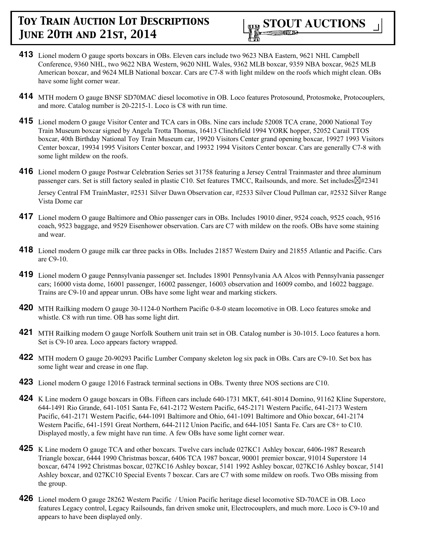- **413** Lionel modern O gauge sports boxcars in OBs. Eleven cars include two 9623 NBA Eastern, 9621 NHL Campbell Conference, 9360 NHL, two 9622 NBA Western, 9620 NHL Wales, 9362 MLB boxcar, 9359 NBA boxcar, 9625 MLB American boxcar, and 9624 MLB National boxcar. Cars are C7-8 with light mildew on the roofs which might clean. OBs have some light corner wear.
- **414** MTH modern O gauge BNSF SD70MAC diesel locomotive in OB. Loco features Protosound, Protosmoke, Protocouplers, and more. Catalog number is 20-2215-1. Loco is C8 with run time.
- **415** Lionel modern O gauge Visitor Center and TCA cars in OBs. Nine cars include 52008 TCA crane, 2000 National Toy Train Museum boxcar signed by Angela Trotta Thomas, 16413 Clinchfield 1994 YORK hopper, 52052 Carail TTOS boxcar, 40th Birthday National Toy Train Museum car, 19920 Visitors Center grand opening boxcar, 19927 1993 Visitors Center boxcar, 19934 1995 Visitors Center boxcar, and 19932 1994 Visitors Center boxcar. Cars are generally C7-8 with some light mildew on the roofs.
- **416** Lionel modern O gauge Postwar Celebration Series set 31758 featuring a Jersey Central Trainmaster and three aluminum passenger cars. Set is still factory sealed in plastic C10. Set features TMCC, Railsounds, and more. Set includes $\boxtimes\#2341$

Jersey Central FM TrainMaster, #2531 Silver Dawn Observation car, #2533 Silver Cloud Pullman car, #2532 Silver Range Vista Dome car

- **417** Lionel modern O gauge Baltimore and Ohio passenger cars in OBs. Includes 19010 diner, 9524 coach, 9525 coach, 9516 coach, 9523 baggage, and 9529 Eisenhower observation. Cars are C7 with mildew on the roofs. OBs have some staining and wear.
- **418** Lionel modern O gauge milk car three packs in OBs. Includes 21857 Western Dairy and 21855 Atlantic and Pacific. Cars are C9-10.
- **419** Lionel modern O gauge Pennsylvania passenger set. Includes 18901 Pennsylvania AA Alcos with Pennsylvania passenger cars; 16000 vista dome, 16001 passenger, 16002 passenger, 16003 observation and 16009 combo, and 16022 baggage. Trains are C9-10 and appear unrun. OBs have some light wear and marking stickers.
- **420** MTH Railking modern O gauge 30-1124-0 Northern Pacific 0-8-0 steam locomotive in OB. Loco features smoke and whistle. C8 with run time. OB has some light dirt.
- **421** MTH Railking modern O gauge Norfolk Southern unit train set in OB. Catalog number is 30-1015. Loco features a horn. Set is C9-10 area. Loco appears factory wrapped.
- **422** MTH modern O gauge 20-90293 Pacific Lumber Company skeleton log six pack in OBs. Cars are C9-10. Set box has some light wear and crease in one flap.
- **423** Lionel modern O gauge 12016 Fastrack terminal sections in OBs. Twenty three NOS sections are C10.
- **424** K Line modern O gauge boxcars in OBs. Fifteen cars include 640-1731 MKT, 641-8014 Domino, 91162 Kline Superstore, 644-1491 Rio Grande, 641-1051 Santa Fe, 641-2172 Western Pacific, 645-2171 Western Pacific, 641-2173 Western Pacific, 641-2171 Western Pacific, 644-1091 Baltimore and Ohio, 641-1091 Baltimore and Ohio boxcar, 641-2174 Western Pacific, 641-1591 Great Northern, 644-2112 Union Pacific, and 644-1051 Santa Fe. Cars are C8+ to C10. Displayed mostly, a few might have run time. A few OBs have some light corner wear.
- **425** K Line modern O gauge TCA and other boxcars. Twelve cars include 027KC1 Ashley boxcar, 6406-1987 Research Triangle boxcar, 6444 1990 Christmas boxcar, 6406 TCA 1987 boxcar, 90001 premier boxcar, 91014 Superstore 14 boxcar, 6474 1992 Christmas boxcar, 027KC16 Ashley boxcar, 5141 1992 Ashley boxcar, 027KC16 Ashley boxcar, 5141 Ashley boxcar, and 027KC10 Special Events 7 boxcar. Cars are C7 with some mildew on roofs. Two OBs missing from the group.
- **426** Lionel modern O gauge 28262 Western Pacific / Union Pacific heritage diesel locomotive SD-70ACE in OB. Loco features Legacy control, Legacy Railsounds, fan driven smoke unit, Electrocouplers, and much more. Loco is C9-10 and appears to have been displayed only.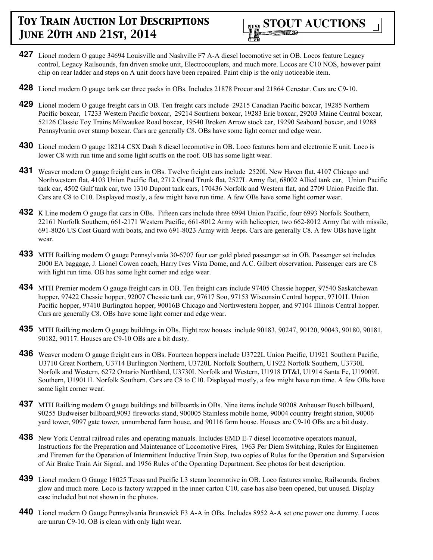- **427** Lionel modern O gauge 34694 Louisville and Nashville F7 A-A diesel locomotive set in OB. Locos feature Legacy control, Legacy Railsounds, fan driven smoke unit, Electrocouplers, and much more. Locos are C10 NOS, however paint chip on rear ladder and steps on A unit doors have been repaired. Paint chip is the only noticeable item.
- **428** Lionel modern O gauge tank car three packs in OBs. Includes 21878 Procor and 21864 Cerestar. Cars are C9-10.
- **429** Lionel modern O gauge freight cars in OB. Ten freight cars include 29215 Canadian Pacific boxcar, 19285 Northern Pacific boxcar, 17233 Western Pacific boxcar, 29214 Southern boxcar, 19283 Erie boxcar, 29203 Maine Central boxcar, 52126 Classic Toy Trains Milwaukee Road boxcar, 19540 Broken Arrow stock car, 19290 Seaboard boxcar, and 19288 Pennsylvania over stamp boxcar. Cars are generally C8. OBs have some light corner and edge wear.
- **430** Lionel modern O gauge 18214 CSX Dash 8 diesel locomotive in OB. Loco features horn and electronic E unit. Loco is lower C8 with run time and some light scuffs on the roof. OB has some light wear.
- **431** Weaver modern O gauge freight cars in OBs. Twelve freight cars include 2520L New Haven flat, 4107 Chicago and Northwestern flat, 4103 Union Pacific flat, 2712 Grand Trunk flat, 2527L Army flat, 68002 Allied tank car, Union Pacific tank car, 4502 Gulf tank car, two 1310 Dupont tank cars, 170436 Norfolk and Western flat, and 2709 Union Pacific flat. Cars are C8 to C10. Displayed mostly, a few might have run time. A few OBs have some light corner wear.
- **432** K Line modern O gauge flat cars in OBs. Fifteen cars include three 6994 Union Pacific, four 6993 Norfolk Southern, 22161 Norfolk Southern, 661-2171 Western Pacific, 661-8012 Army with helicopter, two 662-8012 Army flat with missile, 691-8026 US Cost Guard with boats, and two 691-8023 Army with Jeeps. Cars are generally C8. A few OBs have light wear.
- **433** MTH Railking modern O gauge Pennsylvania 30-6707 four car gold plated passenger set in OB. Passenger set includes 2000 EA baggage, J. Lionel Cowen coach, Harry Ives Vista Dome, and A.C. Gilbert observation. Passenger cars are C8 with light run time. OB has some light corner and edge wear.
- **434** MTH Premier modern O gauge freight cars in OB. Ten freight cars include 97405 Chessie hopper, 97540 Saskatchewan hopper, 97422 Chessie hopper, 92007 Chessie tank car, 97617 Soo, 97153 Wisconsin Central hopper, 97101L Union Pacific hopper, 97410 Burlington hopper, 90016B Chicago and Northwestern hopper, and 97104 Illinois Central hopper. Cars are generally C8. OBs have some light corner and edge wear.
- **435** MTH Railking modern O gauge buildings in OBs. Eight row houses include 90183, 90247, 90120, 90043, 90180, 90181, 90182, 90117. Houses are C9-10 OBs are a bit dusty.
- **436** Weaver modern O gauge freight cars in OBs. Fourteen hoppers include U3722L Union Pacific, U1921 Southern Pacific, U3710 Great Northern, U3714 Burlington Northern, U3720L Norfolk Southern, U1922 Norfolk Southern, U3730L Norfolk and Western, 6272 Ontario Northland, U3730L Norfolk and Western, U1918 DT&I, U1914 Santa Fe, U19009L Southern, U19011L Norfolk Southern. Cars are C8 to C10. Displayed mostly, a few might have run time. A few OBs have some light corner wear.
- **437** MTH Railking modern O gauge buildings and billboards in OBs. Nine items include 90208 Anheuser Busch billboard, 90255 Budweiser billboard,9093 fireworks stand, 900005 Stainless mobile home, 90004 country freight station, 90006 yard tower, 9097 gate tower, unnumbered farm house, and 90116 farm house. Houses are C9-10 OBs are a bit dusty.
- **438** New York Central railroad rules and operating manuals. Includes EMD E-7 diesel locomotive operators manual, Instructions for the Preparation and Maintenance of Locomotive Fires, 1963 Per Diem Switching, Rules for Enginemen and Firemen for the Operation of Intermittent Inductive Train Stop, two copies of Rules for the Operation and Supervision of Air Brake Train Air Signal, and 1956 Rules of the Operating Department. See photos for best description.
- **439** Lionel modern O Gauge 18025 Texas and Pacific L3 steam locomotive in OB. Loco features smoke, Railsounds, firebox glow and much more. Loco is factory wrapped in the inner carton C10, case has also been opened, but unused. Display case included but not shown in the photos.
- **440** Lionel modern O Gauge Pennsylvania Brunswick F3 A-A in OBs. Includes 8952 A-A set one power one dummy. Locos are unrun C9-10. OB is clean with only light wear.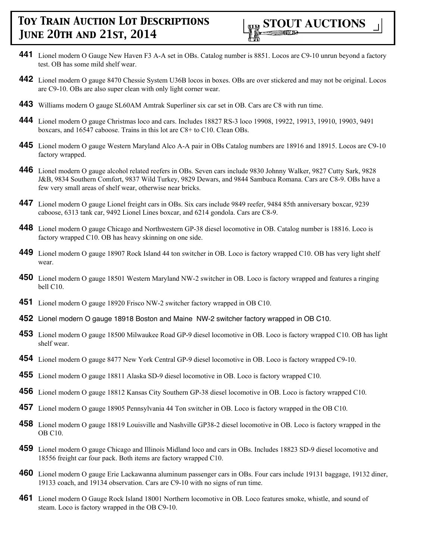

- **441** Lionel modern O Gauge New Haven F3 A-A set in OBs. Catalog number is 8851. Locos are C9-10 unrun beyond a factory test. OB has some mild shelf wear.
- **442** Lionel modern O gauge 8470 Chessie System U36B locos in boxes. OBs are over stickered and may not be original. Locos are C9-10. OBs are also super clean with only light corner wear.
- **443** Williams modern O gauge SL60AM Amtrak Superliner six car set in OB. Cars are C8 with run time.
- **444** Lionel modern O gauge Christmas loco and cars. Includes 18827 RS-3 loco 19908, 19922, 19913, 19910, 19903, 9491 boxcars, and 16547 caboose. Trains in this lot are C8+ to C10. Clean OBs.
- **445** Lionel modern O gauge Western Maryland Alco A-A pair in OBs Catalog numbers are 18916 and 18915. Locos are C9-10 factory wrapped.
- **446** Lionel modern O gauge alcohol related reefers in OBs. Seven cars include 9830 Johnny Walker, 9827 Cutty Sark, 9828 J&B, 9834 Southern Comfort, 9837 Wild Turkey, 9829 Dewars, and 9844 Sambuca Romana. Cars are C8-9. OBs have a few very small areas of shelf wear, otherwise near bricks.
- **447** Lionel modern O gauge Lionel freight cars in OBs. Six cars include 9849 reefer, 9484 85th anniversary boxcar, 9239 caboose, 6313 tank car, 9492 Lionel Lines boxcar, and 6214 gondola. Cars are C8-9.
- **448** Lionel modern O gauge Chicago and Northwestern GP-38 diesel locomotive in OB. Catalog number is 18816. Loco is factory wrapped C10. OB has heavy skinning on one side.
- **449** Lionel modern O gauge 18907 Rock Island 44 ton switcher in OB. Loco is factory wrapped C10. OB has very light shelf wear.
- **450** Lionel modern O gauge 18501 Western Maryland NW-2 switcher in OB. Loco is factory wrapped and features a ringing bell C10.
- **451** Lionel modern O gauge 18920 Frisco NW-2 switcher factory wrapped in OB C10.
- **452** Lionel modern O gauge 18918 Boston and Maine NW-2 switcher factory wrapped in OB C10.
- **453** Lionel modern O gauge 18500 Milwaukee Road GP-9 diesel locomotive in OB. Loco is factory wrapped C10. OB has light shelf wear.
- **454** Lionel modern O gauge 8477 New York Central GP-9 diesel locomotive in OB. Loco is factory wrapped C9-10.
- **455** Lionel modern O gauge 18811 Alaska SD-9 diesel locomotive in OB. Loco is factory wrapped C10.
- **456** Lionel modern O gauge 18812 Kansas City Southern GP-38 diesel locomotive in OB. Loco is factory wrapped C10.
- **457** Lionel modern O gauge 18905 Pennsylvania 44 Ton switcher in OB. Loco is factory wrapped in the OB C10.
- **458** Lionel modern O gauge 18819 Louisville and Nashville GP38-2 diesel locomotive in OB. Loco is factory wrapped in the OB C10.
- **459** Lionel modern O gauge Chicago and Illinois Midland loco and cars in OBs. Includes 18823 SD-9 diesel locomotive and 18556 freight car four pack. Both items are factory wrapped C10.
- **460** Lionel modern O gauge Erie Lackawanna aluminum passenger cars in OBs. Four cars include 19131 baggage, 19132 diner, 19133 coach, and 19134 observation. Cars are C9-10 with no signs of run time.
- **461** Lionel modern O Gauge Rock Island 18001 Northern locomotive in OB. Loco features smoke, whistle, and sound of steam. Loco is factory wrapped in the OB C9-10.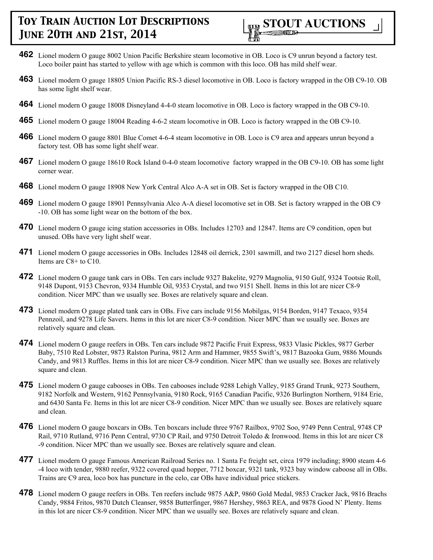

- **462** Lionel modern O gauge 8002 Union Pacific Berkshire steam locomotive in OB. Loco is C9 unrun beyond a factory test. Loco boiler paint has started to yellow with age which is common with this loco. OB has mild shelf wear.
- **463** Lionel modern O gauge 18805 Union Pacific RS-3 diesel locomotive in OB. Loco is factory wrapped in the OB C9-10. OB has some light shelf wear.
- **464** Lionel modern O gauge 18008 Disneyland 4-4-0 steam locomotive in OB. Loco is factory wrapped in the OB C9-10.
- **465** Lionel modern O gauge 18004 Reading 4-6-2 steam locomotive in OB. Loco is factory wrapped in the OB C9-10.
- **466** Lionel modern O gauge 8801 Blue Comet 4-6-4 steam locomotive in OB. Loco is C9 area and appears unrun beyond a factory test. OB has some light shelf wear.
- **467** Lionel modern O gauge 18610 Rock Island 0-4-0 steam locomotive factory wrapped in the OB C9-10. OB has some light corner wear.
- **468** Lionel modern O gauge 18908 New York Central Alco A-A set in OB. Set is factory wrapped in the OB C10.
- **469** Lionel modern O gauge 18901 Pennsylvania Alco A-A diesel locomotive set in OB. Set is factory wrapped in the OB C9 -10. OB has some light wear on the bottom of the box.
- **470** Lionel modern O gauge icing station accessories in OBs. Includes 12703 and 12847. Items are C9 condition, open but unused. OBs have very light shelf wear.
- **471** Lionel modern O gauge accessories in OBs. Includes 12848 oil derrick, 2301 sawmill, and two 2127 diesel horn sheds. Items are C8+ to C10.
- **472** Lionel modern O gauge tank cars in OBs. Ten cars include 9327 Bakelite, 9279 Magnolia, 9150 Gulf, 9324 Tootsie Roll, 9148 Dupont, 9153 Chevron, 9334 Humble Oil, 9353 Crystal, and two 9151 Shell. Items in this lot are nicer C8-9 condition. Nicer MPC than we usually see. Boxes are relatively square and clean.
- **473** Lionel modern O gauge plated tank cars in OBs. Five cars include 9156 Mobilgas, 9154 Borden, 9147 Texaco, 9354 Pennzoil, and 9278 Life Savers. Items in this lot are nicer C8-9 condition. Nicer MPC than we usually see. Boxes are relatively square and clean.
- **474** Lionel modern O gauge reefers in OBs. Ten cars include 9872 Pacific Fruit Express, 9833 Vlasic Pickles, 9877 Gerber Baby, 7510 Red Lobster, 9873 Ralston Purina, 9812 Arm and Hammer, 9855 Swift's, 9817 Bazooka Gum, 9886 Mounds Candy, and 9813 Ruffles. Items in this lot are nicer C8-9 condition. Nicer MPC than we usually see. Boxes are relatively square and clean.
- **475** Lionel modern O gauge cabooses in OBs. Ten cabooses include 9288 Lehigh Valley, 9185 Grand Trunk, 9273 Southern, 9182 Norfolk and Western, 9162 Pennsylvania, 9180 Rock, 9165 Canadian Pacific, 9326 Burlington Northern, 9184 Erie, and 6430 Santa Fe. Items in this lot are nicer C8-9 condition. Nicer MPC than we usually see. Boxes are relatively square and clean.
- **476** Lionel modern O gauge boxcars in OBs. Ten boxcars include three 9767 Railbox, 9702 Soo, 9749 Penn Central, 9748 CP Rail, 9710 Rutland, 9716 Penn Central, 9730 CP Rail, and 9750 Detroit Toledo & Ironwood. Items in this lot are nicer C8 -9 condition. Nicer MPC than we usually see. Boxes are relatively square and clean.
- **477** Lionel modern O gauge Famous American Railroad Series no. 1 Santa Fe freight set, circa 1979 including; 8900 steam 4-6 -4 loco with tender, 9880 reefer, 9322 covered quad hopper, 7712 boxcar, 9321 tank, 9323 bay window caboose all in OBs. Trains are C9 area, loco box has puncture in the celo, car OBs have individual price stickers.
- **478** Lionel modern O gauge reefers in OBs. Ten reefers include 9875 A&P, 9860 Gold Medal, 9853 Cracker Jack, 9816 Brachs Candy, 9884 Fritos, 9870 Dutch Cleanser, 9858 Butterfinger, 9867 Hershey, 9863 REA, and 9878 Good N' Plenty. Items in this lot are nicer C8-9 condition. Nicer MPC than we usually see. Boxes are relatively square and clean.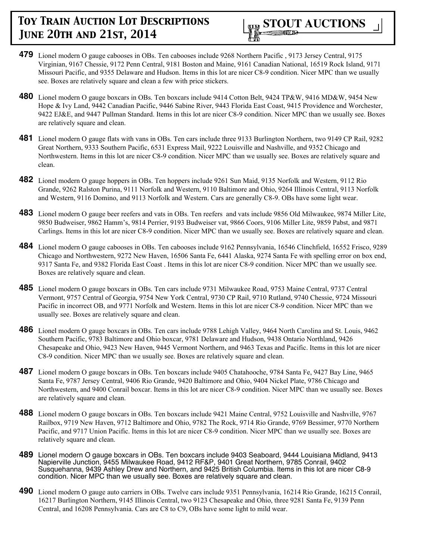- **479** Lionel modern O gauge cabooses in OBs. Ten cabooses include 9268 Northern Pacific , 9173 Jersey Central, 9175 Virginian, 9167 Chessie, 9172 Penn Central, 9181 Boston and Maine, 9161 Canadian National, 16519 Rock Island, 9171 Missouri Pacific, and 9355 Delaware and Hudson. Items in this lot are nicer C8-9 condition. Nicer MPC than we usually see. Boxes are relatively square and clean a few with price stickers.
- **480** Lionel modern O gauge boxcars in OBs. Ten boxcars include 9414 Cotton Belt, 9424 TP&W, 9416 MD&W, 9454 New Hope & Ivy Land, 9442 Canadian Pacific, 9446 Sabine River, 9443 Florida East Coast, 9415 Providence and Worchester, 9422 EJ&E, and 9447 Pullman Standard. Items in this lot are nicer C8-9 condition. Nicer MPC than we usually see. Boxes are relatively square and clean.
- **481** Lionel modern O gauge flats with vans in OBs. Ten cars include three 9133 Burlington Northern, two 9149 CP Rail, 9282 Great Northern, 9333 Southern Pacific, 6531 Express Mail, 9222 Louisville and Nashville, and 9352 Chicago and Northwestern. Items in this lot are nicer C8-9 condition. Nicer MPC than we usually see. Boxes are relatively square and clean.
- **482** Lionel modern O gauge hoppers in OBs. Ten hoppers include 9261 Sun Maid, 9135 Norfolk and Western, 9112 Rio Grande, 9262 Ralston Purina, 9111 Norfolk and Western, 9110 Baltimore and Ohio, 9264 Illinois Central, 9113 Norfolk and Western, 9116 Domino, and 9113 Norfolk and Western. Cars are generally C8-9. OBs have some light wear.
- **483** Lionel modern O gauge beer reefers and vats in OBs. Ten reefers and vats include 9856 Old Milwaukee, 9874 Miller Lite, 9850 Budweiser, 9862 Hamm's, 9814 Perrier, 9193 Budweiser vat, 9866 Coors, 9106 Miller Lite, 9859 Pabst, and 9871 Carlings. Items in this lot are nicer C8-9 condition. Nicer MPC than we usually see. Boxes are relatively square and clean.
- **484** Lionel modern O gauge cabooses in OBs. Ten cabooses include 9162 Pennsylvania, 16546 Clinchfield, 16552 Frisco, 9289 Chicago and Northwestern, 9272 New Haven, 16506 Santa Fe, 6441 Alaska, 9274 Santa Fe with spelling error on box end, 9317 Santa Fe, and 9382 Florida East Coast . Items in this lot are nicer C8-9 condition. Nicer MPC than we usually see. Boxes are relatively square and clean.
- **485** Lionel modern O gauge boxcars in OBs. Ten cars include 9731 Milwaukee Road, 9753 Maine Central, 9737 Central Vermont, 9757 Central of Georgia, 9754 New York Central, 9730 CP Rail, 9710 Rutland, 9740 Chessie, 9724 Missouri Pacific in incorrect OB, and 9771 Norfolk and Western. Items in this lot are nicer C8-9 condition. Nicer MPC than we usually see. Boxes are relatively square and clean.
- **486** Lionel modern O gauge boxcars in OBs. Ten cars include 9788 Lehigh Valley, 9464 North Carolina and St. Louis, 9462 Southern Pacific, 9783 Baltimore and Ohio boxcar, 9781 Delaware and Hudson, 9438 Ontario Northland, 9426 Chesapeake and Ohio, 9423 New Haven, 9445 Vermont Northern, and 9463 Texas and Pacific. Items in this lot are nicer C8-9 condition. Nicer MPC than we usually see. Boxes are relatively square and clean.
- **487** Lionel modern O gauge boxcars in OBs. Ten boxcars include 9405 Chatahooche, 9784 Santa Fe, 9427 Bay Line, 9465 Santa Fe, 9787 Jersey Central, 9406 Rio Grande, 9420 Baltimore and Ohio, 9404 Nickel Plate, 9786 Chicago and Northwestern, and 9400 Conrail boxcar. Items in this lot are nicer C8-9 condition. Nicer MPC than we usually see. Boxes are relatively square and clean.
- **488** Lionel modern O gauge boxcars in OBs. Ten boxcars include 9421 Maine Central, 9752 Louisville and Nashville, 9767 Railbox, 9719 New Haven, 9712 Baltimore and Ohio, 9782 The Rock, 9714 Rio Grande, 9769 Bessimer, 9770 Northern Pacific, and 9717 Union Pacific. Items in this lot are nicer C8-9 condition. Nicer MPC than we usually see. Boxes are relatively square and clean.
- **489** Lionel modern O gauge boxcars in OBs. Ten boxcars include 9403 Seaboard, 9444 Louisiana Midland, 9413 Napierville Junction, 9455 Milwaukee Road, 9412 RF&P, 9401 Great Northern, 9785 Conrail, 9402 Susquehanna, 9439 Ashley Drew and Northern, and 9425 British Columbia. Items in this lot are nicer C8-9 condition. Nicer MPC than we usually see. Boxes are relatively square and clean.
- **490** Lionel modern O gauge auto carriers in OBs. Twelve cars include 9351 Pennsylvania, 16214 Rio Grande, 16215 Conrail, 16217 Burlington Northern, 9145 Illinois Central, two 9123 Chesapeake and Ohio, three 9281 Santa Fe, 9139 Penn Central, and 16208 Pennsylvania. Cars are C8 to C9, OBs have some light to mild wear.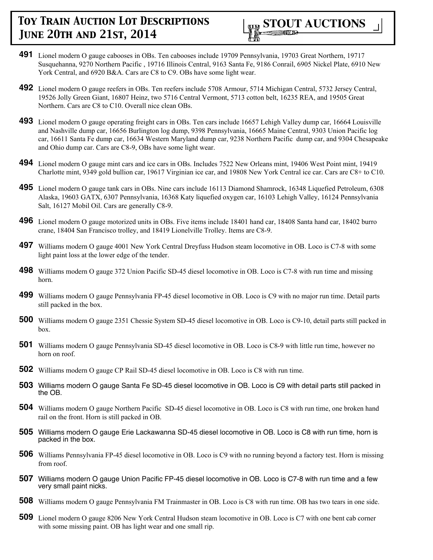

- **491** Lionel modern O gauge cabooses in OBs. Ten cabooses include 19709 Pennsylvania, 19703 Great Northern, 19717 Susquehanna, 9270 Northern Pacific , 19716 Illinois Central, 9163 Santa Fe, 9186 Conrail, 6905 Nickel Plate, 6910 New York Central, and 6920 B&A. Cars are C8 to C9. OBs have some light wear.
- **492** Lionel modern O gauge reefers in OBs. Ten reefers include 5708 Armour, 5714 Michigan Central, 5732 Jersey Central, 19526 Jolly Green Giant, 16807 Heinz, two 5716 Central Vermont, 5713 cotton belt, 16235 REA, and 19505 Great Northern. Cars are C8 to C10. Overall nice clean OBs.
- **493** Lionel modern O gauge operating freight cars in OBs. Ten cars include 16657 Lehigh Valley dump car, 16664 Louisville and Nashville dump car, 16656 Burlington log dump, 9398 Pennsylvania, 16665 Maine Central, 9303 Union Pacific log car, 16611 Santa Fe dump car, 16634 Western Maryland dump car, 9238 Northern Pacific dump car, and 9304 Chesapeake and Ohio dump car. Cars are C8-9, OBs have some light wear.
- **494** Lionel modern O gauge mint cars and ice cars in OBs. Includes 7522 New Orleans mint, 19406 West Point mint, 19419 Charlotte mint, 9349 gold bullion car, 19617 Virginian ice car, and 19808 New York Central ice car. Cars are C8+ to C10.
- **495** Lionel modern O gauge tank cars in OBs. Nine cars include 16113 Diamond Shamrock, 16348 Liquefied Petroleum, 6308 Alaska, 19603 GATX, 6307 Pennsylvania, 16368 Katy liquefied oxygen car, 16103 Lehigh Valley, 16124 Pennsylvania Salt, 16127 Mobil Oil. Cars are generally C8-9.
- **496** Lionel modern O gauge motorized units in OBs. Five items include 18401 hand car, 18408 Santa hand car, 18402 burro crane, 18404 San Francisco trolley, and 18419 Lionelville Trolley. Items are C8-9.
- **497** Williams modern O gauge 4001 New York Central Dreyfuss Hudson steam locomotive in OB. Loco is C7-8 with some light paint loss at the lower edge of the tender.
- **498** Williams modern O gauge 372 Union Pacific SD-45 diesel locomotive in OB. Loco is C7-8 with run time and missing horn.
- **499** Williams modern O gauge Pennsylvania FP-45 diesel locomotive in OB. Loco is C9 with no major run time. Detail parts still packed in the box.
- **500** Williams modern O gauge 2351 Chessie System SD-45 diesel locomotive in OB. Loco is C9-10, detail parts still packed in box.
- **501** Williams modern O gauge Pennsylvania SD-45 diesel locomotive in OB. Loco is C8-9 with little run time, however no horn on roof.
- **502** Williams modern O gauge CP Rail SD-45 diesel locomotive in OB. Loco is C8 with run time.
- **503** Williams modern O gauge Santa Fe SD-45 diesel locomotive in OB. Loco is C9 with detail parts still packed in the OB.
- **504** Williams modern O gauge Northern Pacific SD-45 diesel locomotive in OB. Loco is C8 with run time, one broken hand rail on the front. Horn is still packed in OB.
- **505** Williams modern O gauge Erie Lackawanna SD-45 diesel locomotive in OB. Loco is C8 with run time, horn is packed in the box.
- **506** Williams Pennsylvania FP-45 diesel locomotive in OB. Loco is C9 with no running beyond a factory test. Horn is missing from roof.
- **507** Williams modern O gauge Union Pacific FP-45 diesel locomotive in OB. Loco is C7-8 with run time and a few very small paint nicks.
- **508** Williams modern O gauge Pennsylvania FM Trainmaster in OB. Loco is C8 with run time. OB has two tears in one side.
- **509** Lionel modern O gauge 8206 New York Central Hudson steam locomotive in OB. Loco is C7 with one bent cab corner with some missing paint. OB has light wear and one small rip.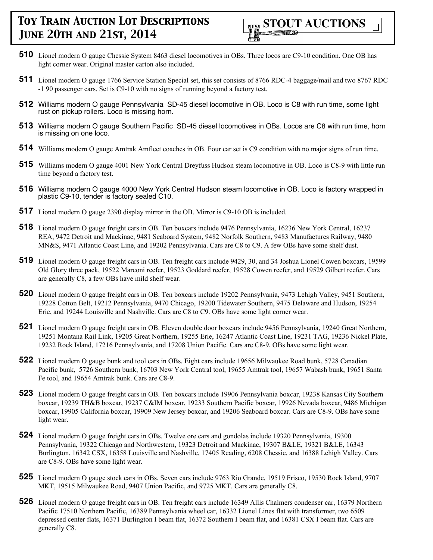

- **510** Lionel modern O gauge Chessie System 8463 diesel locomotives in OBs. Three locos are C9-10 condition. One OB has light corner wear. Original master carton also included.
- **511** Lionel modern O gauge 1766 Service Station Special set, this set consists of 8766 RDC-4 baggage/mail and two 8767 RDC -1 90 passenger cars. Set is C9-10 with no signs of running beyond a factory test.
- **512** Williams modern O gauge Pennsylvania SD-45 diesel locomotive in OB. Loco is C8 with run time, some light rust on pickup rollers. Loco is missing horn.
- **513** Williams modern O gauge Southern Pacific SD-45 diesel locomotives in OBs. Locos are C8 with run time, horn is missing on one loco.
- **514** Williams modern O gauge Amtrak Amfleet coaches in OB. Four car set is C9 condition with no major signs of run time.
- **515** Williams modern O gauge 4001 New York Central Dreyfuss Hudson steam locomotive in OB. Loco is C8-9 with little run time beyond a factory test.
- **516** Williams modern O gauge 4000 New York Central Hudson steam locomotive in OB. Loco is factory wrapped in plastic C9-10, tender is factory sealed C10.
- **517** Lionel modern O gauge 2390 display mirror in the OB. Mirror is C9-10 OB is included.
- **518** Lionel modern O gauge freight cars in OB. Ten boxcars include 9476 Pennsylvania, 16236 New York Central, 16237 REA, 9472 Detroit and Mackinac, 9481 Seaboard System, 9482 Norfolk Southern, 9483 Manufactures Railway, 9480 MN&S, 9471 Atlantic Coast Line, and 19202 Pennsylvania. Cars are C8 to C9. A few OBs have some shelf dust.
- **519** Lionel modern O gauge freight cars in OB. Ten freight cars include 9429, 30, and 34 Joshua Lionel Cowen boxcars, 19599 Old Glory three pack, 19522 Marconi reefer, 19523 Goddard reefer, 19528 Cowen reefer, and 19529 Gilbert reefer. Cars are generally C8, a few OBs have mild shelf wear.
- **520** Lionel modern O gauge freight cars in OB. Ten boxcars include 19202 Pennsylvania, 9473 Lehigh Valley, 9451 Southern, 19228 Cotton Belt, 19212 Pennsylvania, 9470 Chicago, 19200 Tidewater Southern, 9475 Delaware and Hudson, 19254 Erie, and 19244 Louisville and Nashville. Cars are C8 to C9. OBs have some light corner wear.
- **521** Lionel modern O gauge freight cars in OB. Eleven double door boxcars include 9456 Pennsylvania, 19240 Great Northern, 19251 Montana Rail Link, 19205 Great Northern, 19255 Erie, 16247 Atlantic Coast Line, 19231 TAG, 19236 Nickel Plate, 19232 Rock Island, 17216 Pennsylvania, and 17208 Union Pacific. Cars are C8-9, OBs have some light wear.
- **522** Lionel modern O gauge bunk and tool cars in OBs. Eight cars include 19656 Milwaukee Road bunk, 5728 Canadian Pacific bunk, 5726 Southern bunk, 16703 New York Central tool, 19655 Amtrak tool, 19657 Wabash bunk, 19651 Santa Fe tool, and 19654 Amtrak bunk. Cars are C8-9.
- **523** Lionel modern O gauge freight cars in OB. Ten boxcars include 19906 Pennsylvania boxcar, 19238 Kansas City Southern boxcar, 19239 TH&B boxcar, 19237 C&IM boxcar, 19233 Southern Pacific boxcar, 19926 Nevada boxcar, 9486 Michigan boxcar, 19905 California boxcar, 19909 New Jersey boxcar, and 19206 Seaboard boxcar. Cars are C8-9. OBs have some light wear.
- **524** Lionel modern O gauge freight cars in OBs. Twelve ore cars and gondolas include 19320 Pennsylvania, 19300 Pennsylvania, 19322 Chicago and Northwestern, 19323 Detroit and Mackinac, 19307 B&LE, 19321 B&LE, 16343 Burlington, 16342 CSX, 16358 Louisville and Nashville, 17405 Reading, 6208 Chessie, and 16388 Lehigh Valley. Cars are C8-9. OBs have some light wear.
- **525** Lionel modern O gauge stock cars in OBs. Seven cars include 9763 Rio Grande, 19519 Frisco, 19530 Rock Island, 9707 MKT, 19515 Milwaukee Road, 9407 Union Pacific, and 9725 MKT. Cars are generally C8.
- **526** Lionel modern O gauge freight cars in OB. Ten freight cars include 16349 Allis Chalmers condenser car, 16379 Northern Pacific 17510 Northern Pacific, 16389 Pennsylvania wheel car, 16332 Lionel Lines flat with transformer, two 6509 depressed center flats, 16371 Burlington I beam flat, 16372 Southern I beam flat, and 16381 CSX I beam flat. Cars are generally C8.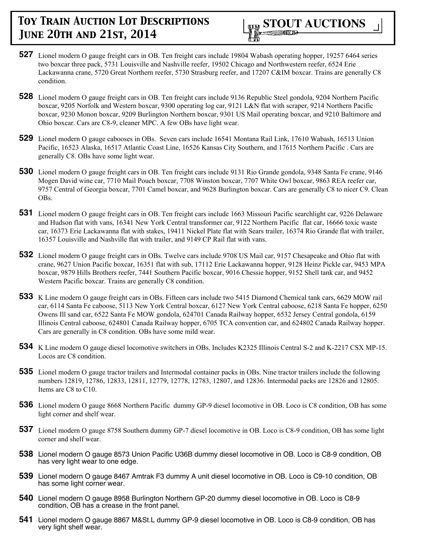

- **527** Lionel modern O gauge freight cars in OB. Ten freight cars include 19804 Wabash operating hopper, 19257 6464 series two boxcar three pack, 5731 Louisville and Nashville reefer, 19502 Chicago and Northwestern reefer, 6524 Erie Lackawanna crane, 5720 Great Northern reefer, 5730 Strasburg reefer, and 17207 C&IM boxcar. Trains are generally C8 condition.
- **528** Lionel modern O gauge freight cars in OB. Ten freight cars include 9136 Republic Steel gondola, 9204 Northern Pacific boxcar, 9205 Norfolk and Western boxcar, 9300 operating log car, 9121 L&N flat with scraper, 9214 Northern Pacific boxcar, 9230 Monon boxcar, 9209 Burlington Northern boxcar, 9301 US Mail operating boxcar, and 9210 Baltimore and Ohio boxcar. Cars are C8-9, cleaner MPC. A few OBs have light wear.
- **529** Lionel modern O gauge cabooses in OBs. Seven cars include 16541 Montana Rail Link, 17610 Wabash, 16513 Union Pacific, 16523 Alaska, 16517 Atlantic Coast Line, 16526 Kansas City Southern, and 17615 Northern Pacific . Cars are generally C8. OBs have some light wear.
- **530** Lionel modern O gauge freight cars in OB. Ten freight cars include 9131 Rio Grande gondola, 9348 Santa Fe crane, 9146 Mogen David wine car, 7710 Mail Pouch boxcar, 7708 Winston boxcar, 7707 White Owl boxcar, 9863 REA reefer car, 9757 Central of Georgia boxcar, 7701 Camel boxcar, and 9628 Burlington boxcar. Cars are generally C8 to nicer C9. Clean OBs.
- **531** Lionel modern O gauge freight cars in OB. Ten freight cars include 1663 Missouri Pacific searchlight car, 9226 Delaware and Hudson flat with vans, 16341 New York Central transformer car, 9122 Northern Pacific flat car, 16666 toxic waste car, 16373 Erie Lackawanna flat with stakes, 19411 Nickel Plate flat with Sears trailer, 16374 Rio Grande flat with trailer, 16357 Louisville and Nashville flat with trailer, and 9149 CP Rail flat with vans.
- **532** Lionel modern O gauge freight cars in OBs. Twelve cars include 9708 US Mail car, 9157 Chesapeake and Ohio flat with crane, 9627 Union Pacific boxcar, 16351 flat with sub, 17112 Erie Lackawanna hopper, 9128 Heinz Pickle car, 9453 MPA boxcar, 9879 Hills Brothers reefer, 7441 Southern Pacific boxcar, 9016 Chessie hopper, 9152 Shell tank car, and 9452 Western Pacific boxcar. Trains are generally C8 condition.
- **533** K Line modern O gauge freight cars in OBs. Fifteen cars include two 5415 Diamond Chemical tank cars, 6629 MOW rail car, 6114 Santa Fe caboose, 5113 New York Central boxcar, 6127 New York Central caboose, 6218 Santa Fe hopper, 6250 Owens Ill sand car, 6522 Santa Fe MOW gondola, 624701 Canada Railway hopper, 6532 Jersey Central gondola, 6159 Illinois Central caboose, 624801 Canada Railway hopper, 6705 TCA convention car, and 624802 Canada Railway hopper. Cars are generally in C8 condition. OBs have some mild wear.
- **534** K Line modern O gauge diesel locomotive switchers in OBs. Includes K2325 Illinois Central S-2 and K-2217 CSX MP-15. Locos are C8 condition.
- **535** Lionel modern O gauge tractor trailers and Intermodal container packs in OBs. Nine tractor trailers include the following numbers 12819, 12786, 12833, 12811, 12779, 12778, 12783, 12807, and 12836. Intermodal packs are 12826 and 12805. Items are C8 to C10.
- **536** Lionel modern O gauge 8668 Northern Pacific dummy GP-9 diesel locomotive in OB. Loco is C8 condition, OB has some light corner and shelf wear.
- **537** Lionel modern O gauge 8758 Southern dummy GP-7 diesel locomotive in OB. Loco is C8-9 condition, OB has some light corner and shelf wear.
- **538** Lionel modern O gauge 8573 Union Pacific U36B dummy diesel locomotive in OB. Loco is C8-9 condition, OB has very light wear to one edge.
- **539** Lionel modern O gauge 8467 Amtrak F3 dummy A unit diesel locomotive in OB. Loco is C9-10 condition, OB has some light corner wear.
- **540** Lionel modern O gauge 8958 Burlington Northern GP-20 dummy diesel locomotive in OB. Loco is C8-9 condition, OB has a crease in the front panel.
- **541** Lionel modern O gauge 8867 M&St.L dummy GP-9 diesel locomotive in OB. Loco is C8-9 condition, OB has very light shelf wear.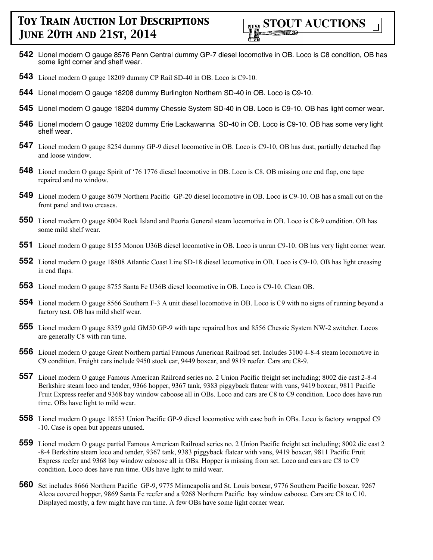- **542** Lionel modern O gauge 8576 Penn Central dummy GP-7 diesel locomotive in OB. Loco is C8 condition, OB has some light corner and shelf wear.
- **543** Lionel modern O gauge 18209 dummy CP Rail SD-40 in OB. Loco is C9-10.
- **544** Lionel modern O gauge 18208 dummy Burlington Northern SD-40 in OB. Loco is C9-10.
- **545** Lionel modern O gauge 18204 dummy Chessie System SD-40 in OB. Loco is C9-10. OB has light corner wear.
- **546** Lionel modern O gauge 18202 dummy Erie Lackawanna SD-40 in OB. Loco is C9-10. OB has some very light shelf wear.
- **547** Lionel modern O gauge 8254 dummy GP-9 diesel locomotive in OB. Loco is C9-10, OB has dust, partially detached flap and loose window.
- **548** Lionel modern O gauge Spirit of '76 1776 diesel locomotive in OB. Loco is C8. OB missing one end flap, one tape repaired and no window.
- **549** Lionel modern O gauge 8679 Northern Pacific GP-20 diesel locomotive in OB. Loco is C9-10. OB has a small cut on the front panel and two creases.
- **550** Lionel modern O gauge 8004 Rock Island and Peoria General steam locomotive in OB. Loco is C8-9 condition. OB has some mild shelf wear.
- **551** Lionel modern O gauge 8155 Monon U36B diesel locomotive in OB. Loco is unrun C9-10. OB has very light corner wear.
- **552** Lionel modern O gauge 18808 Atlantic Coast Line SD-18 diesel locomotive in OB. Loco is C9-10. OB has light creasing in end flaps.
- **553** Lionel modern O gauge 8755 Santa Fe U36B diesel locomotive in OB. Loco is C9-10. Clean OB.
- **554** Lionel modern O gauge 8566 Southern F-3 A unit diesel locomotive in OB. Loco is C9 with no signs of running beyond a factory test. OB has mild shelf wear.
- **555** Lionel modern O gauge 8359 gold GM50 GP-9 with tape repaired box and 8556 Chessie System NW-2 switcher. Locos are generally C8 with run time.
- **556** Lionel modern O gauge Great Northern partial Famous American Railroad set. Includes 3100 4-8-4 steam locomotive in C9 condition. Freight cars include 9450 stock car, 9449 boxcar, and 9819 reefer. Cars are C8-9.
- **557** Lionel modern O gauge Famous American Railroad series no. 2 Union Pacific freight set including; 8002 die cast 2-8-4 Berkshire steam loco and tender, 9366 hopper, 9367 tank, 9383 piggyback flatcar with vans, 9419 boxcar, 9811 Pacific Fruit Express reefer and 9368 bay window caboose all in OBs. Loco and cars are C8 to C9 condition. Loco does have run time. OBs have light to mild wear.
- **558** Lionel modern O gauge 18553 Union Pacific GP-9 diesel locomotive with case both in OBs. Loco is factory wrapped C9 -10. Case is open but appears unused.
- **559** Lionel modern O gauge partial Famous American Railroad series no. 2 Union Pacific freight set including; 8002 die cast 2 -8-4 Berkshire steam loco and tender, 9367 tank, 9383 piggyback flatcar with vans, 9419 boxcar, 9811 Pacific Fruit Express reefer and 9368 bay window caboose all in OBs. Hopper is missing from set. Loco and cars are C8 to C9 condition. Loco does have run time. OBs have light to mild wear.
- **560** Set includes 8666 Northern Pacific GP-9, 9775 Minneapolis and St. Louis boxcar, 9776 Southern Pacific boxcar, 9267 Alcoa covered hopper, 9869 Santa Fe reefer and a 9268 Northern Pacific bay window caboose. Cars are C8 to C10. Displayed mostly, a few might have run time. A few OBs have some light corner wear.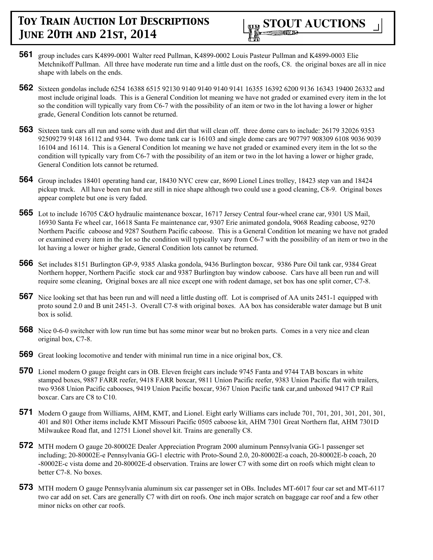

- **561** group includes cars K4899-0001 Walter reed Pullman, K4899-0002 Louis Pasteur Pullman and K4899-0003 Elie Metchnikoff Pullman. All three have moderate run time and a little dust on the roofs, C8. the original boxes are all in nice shape with labels on the ends.
- **562** Sixteen gondolas include 6254 16388 6515 92130 9140 9140 9140 9141 16355 16392 6200 9136 16343 19400 26332 and most include original loads. This is a General Condition lot meaning we have not graded or examined every item in the lot so the condition will typically vary from C6-7 with the possibility of an item or two in the lot having a lower or higher grade, General Condition lots cannot be returned.
- **563** Sixteen tank cars all run and some with dust and dirt that will clean off. three dome cars to include: 26179 32026 9353 92509279 9148 16112 and 9344. Two dome tank car is 16103 and single dome cars are 907797 908309 6108 9036 9039 16104 and 16114. This is a General Condition lot meaning we have not graded or examined every item in the lot so the condition will typically vary from C6-7 with the possibility of an item or two in the lot having a lower or higher grade, General Condition lots cannot be returned.
- **564** Group includes 18401 operating hand car, 18430 NYC crew car, 8690 Lionel Lines trolley, 18423 step van and 18424 pickup truck. All have been run but are still in nice shape although two could use a good cleaning, C8-9. Original boxes appear complete but one is very faded.
- **565** Lot to include 16705 C&O hydraulic maintenance boxcar, 16717 Jersey Central four-wheel crane car, 9301 US Mail, 16930 Santa Fe wheel car, 16618 Santa Fe maintenance car, 9307 Erie animated gondola, 9068 Reading caboose, 9270 Northern Pacific caboose and 9287 Southern Pacific caboose. This is a General Condition lot meaning we have not graded or examined every item in the lot so the condition will typically vary from C6-7 with the possibility of an item or two in the lot having a lower or higher grade, General Condition lots cannot be returned.
- **566** Set includes 8151 Burlington GP-9, 9385 Alaska gondola, 9436 Burlington boxcar, 9386 Pure Oil tank car, 9384 Great Northern hopper, Northern Pacific stock car and 9387 Burlington bay window caboose. Cars have all been run and will require some cleaning, Original boxes are all nice except one with rodent damage, set box has one split corner, C7-8.
- **567** Nice looking set that has been run and will need a little dusting off. Lot is comprised of AA units 2451-1 equipped with proto sound 2.0 and B unit 2451-3. Overall C7-8 with original boxes. AA box has considerable water damage but B unit box is solid.
- **568** Nice 0-6-0 switcher with low run time but has some minor wear but no broken parts. Comes in a very nice and clean original box, C7-8.
- **569** Great looking locomotive and tender with minimal run time in a nice original box, C8.
- **570** Lionel modern O gauge freight cars in OB. Eleven freight cars include 9745 Fanta and 9744 TAB boxcars in white stamped boxes, 9887 FARR reefer, 9418 FARR boxcar, 9811 Union Pacific reefer, 9383 Union Pacific flat with trailers, two 9368 Union Pacific cabooses, 9419 Union Pacific boxcar, 9367 Union Pacific tank car,and unboxed 9417 CP Rail boxcar. Cars are C8 to C10.
- **571** Modern O gauge from Williams, AHM, KMT, and Lionel. Eight early Williams cars include 701, 701, 201, 301, 201, 301, 401 and 801 Other items include KMT Missouri Pacific 0505 caboose kit, AHM 7301 Great Northern flat, AHM 7301D Milwaukee Road flat, and 12751 Lionel shovel kit. Trains are generally C8.
- **572** MTH modern O gauge 20-80002E Dealer Appreciation Program 2000 aluminum Pennsylvania GG-1 passenger set including; 20-80002E-e Pennsylvania GG-1 electric with Proto-Sound 2.0, 20-80002E-a coach, 20-80002E-b coach, 20 -80002E-c vista dome and 20-80002E-d observation. Trains are lower C7 with some dirt on roofs which might clean to better C7-8. No boxes.
- **573** MTH modern O gauge Pennsylvania aluminum six car passenger set in OBs. Includes MT-6017 four car set and MT-6117 two car add on set. Cars are generally C7 with dirt on roofs. One inch major scratch on baggage car roof and a few other minor nicks on other car roofs.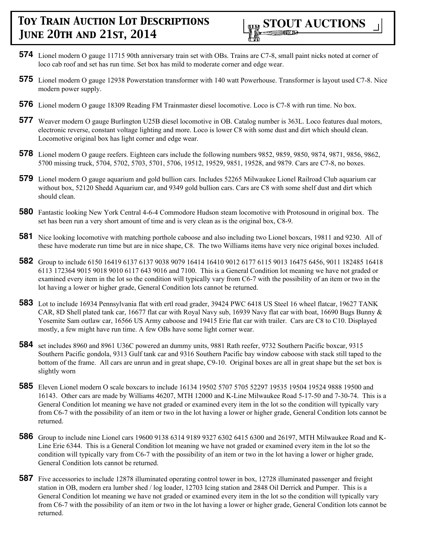

- **574** Lionel modern O gauge 11715 90th anniversary train set with OBs. Trains are C7-8, small paint nicks noted at corner of loco cab roof and set has run time. Set box has mild to moderate corner and edge wear.
- **575** Lionel modern O gauge 12938 Powerstation transformer with 140 watt Powerhouse. Transformer is layout used C7-8. Nice modern power supply.
- **576** Lionel modern O gauge 18309 Reading FM Trainmaster diesel locomotive. Loco is C7-8 with run time. No box.
- **577** Weaver modern O gauge Burlington U25B diesel locomotive in OB. Catalog number is 363L. Loco features dual motors, electronic reverse, constant voltage lighting and more. Loco is lower C8 with some dust and dirt which should clean. Locomotive original box has light corner and edge wear.
- **578** Lionel modern O gauge reefers. Eighteen cars include the following numbers 9852, 9859, 9850, 9874, 9871, 9856, 9862, 5700 missing truck, 5704, 5702, 5703, 5701, 5706, 19512, 19529, 9851, 19528, and 9879. Cars are C7-8, no boxes.
- **579** Lionel modern O gauge aquarium and gold bullion cars. Includes 52265 Milwaukee Lionel Railroad Club aquarium car without box, 52120 Shedd Aquarium car, and 9349 gold bullion cars. Cars are C8 with some shelf dust and dirt which should clean.
- **580** Fantastic looking New York Central 4-6-4 Commodore Hudson steam locomotive with Protosound in original box. The set has been run a very short amount of time and is very clean as is the original box, C8-9.
- **581** Nice looking locomotive with matching porthole caboose and also including two Lionel boxcars, 19811 and 9230. All of these have moderate run time but are in nice shape, C8. The two Williams items have very nice original boxes included.
- **582** Group to include 6150 16419 6137 6137 9038 9079 16414 16410 9012 6177 6115 9013 16475 6456, 9011 182485 16418 6113 172364 9015 9018 9010 6117 643 9016 and 7100. This is a General Condition lot meaning we have not graded or examined every item in the lot so the condition will typically vary from C6-7 with the possibility of an item or two in the lot having a lower or higher grade, General Condition lots cannot be returned.
- **583** Lot to include 16934 Pennsylvania flat with ertl road grader, 39424 PWC 6418 US Steel 16 wheel flatcar, 19627 TANK CAR, 8D Shell plated tank car, 16677 flat car with Royal Navy sub, 16939 Navy flat car with boat, 16690 Bugs Bunny & Yosemite Sam outlaw car, 16566 US Army caboose and 19415 Erie flat car with trailer. Cars are C8 to C10. Displayed mostly, a few might have run time. A few OBs have some light corner wear.
- **584** set includes 8960 and 8961 U36C powered an dummy units, 9881 Rath reefer, 9732 Southern Pacific boxcar, 9315 Southern Pacific gondola, 9313 Gulf tank car and 9316 Southern Pacific bay window caboose with stack still taped to the bottom of the frame. All cars are unrun and in great shape, C9-10. Original boxes are all in great shape but the set box is slightly worn
- **585** Eleven Lionel modern O scale boxcars to include 16134 19502 5707 5705 52297 19535 19504 19524 9888 19500 and 16143. Other cars are made by Williams 46207, MTH 12000 and K-Line Milwaukee Road 5-17-50 and 7-30-74. This is a General Condition lot meaning we have not graded or examined every item in the lot so the condition will typically vary from C6-7 with the possibility of an item or two in the lot having a lower or higher grade, General Condition lots cannot be returned.
- **586** Group to include nine Lionel cars 19600 9138 6314 9189 9327 6302 6415 6300 and 26197, MTH Milwaukee Road and K-Line Erie 6344. This is a General Condition lot meaning we have not graded or examined every item in the lot so the condition will typically vary from C6-7 with the possibility of an item or two in the lot having a lower or higher grade, General Condition lots cannot be returned.
- **587** Five accessories to include 12878 illuminated operating control tower in box, 12728 illuminated passenger and freight station in OB, modern era lumber shed / log loader, 12703 Icing station and 2848 Oil Derrick and Pumper. This is a General Condition lot meaning we have not graded or examined every item in the lot so the condition will typically vary from C6-7 with the possibility of an item or two in the lot having a lower or higher grade, General Condition lots cannot be returned.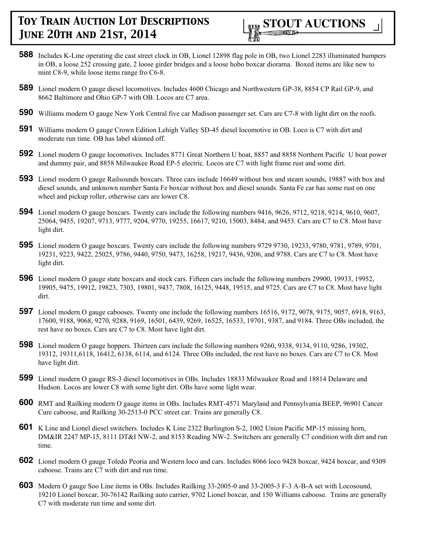

- **588** Includes K-Line operating die cast street clock in OB, Lionel 12898 flag pole in OB, two Lionel 2283 illuminated bumpers in OB, a loose 252 crossing gate, 2 loose girder bridges and a loose hobo boxcar diorama. Boxed items are like new to mint C8-9, while loose items range fro C6-8.
- **589** Lionel modern O gauge diesel locomotives. Includes 4600 Chicago and Northwestern GP-38, 8854 CP Rail GP-9, and 8662 Baltimore and Ohio GP-7 with OB. Locos are C7 area.
- **590** Williams modern O gauge New York Central five car Madison passenger set. Cars are C7-8 with light dirt on the roofs.
- **591** Williams modern O gauge Crown Edition Lehigh Valley SD-45 diesel locomotive in OB. Loco is C7 with dirt and moderate run time. OB has label skinned off.
- **592** Lionel modern O gauge locomotives. Includes 8771 Great Northern U boat, 8857 and 8858 Northern Pacific U boat power and dummy pair, and 8858 Milwaukee Road EP-5 electric. Locos are C7 with light frame rust and some dirt.
- **593** Lionel modern O gauge Railsounds boxcars. Three cars include 16649 without box and steam sounds, 19887 with box and diesel sounds, and unknown number Santa Fe boxcar without box and diesel sounds. Santa Fe car has some rust on one wheel and pickup roller, otherwise cars are lower C8.
- **594** Lionel modern O gauge boxcars. Twenty cars include the following numbers 9416, 9626, 9712, 9218, 9214, 9610, 9607, 25064, 9455, 19207, 9713, 9777, 9204, 9770, 19255, 16617, 9210, 15003, 8484, and 9453. Cars are C7 to C8. Most have light dirt.
- **595** Lionel modern O gauge boxcars. Twenty cars include the following numbers 9729 9730, 19233, 9780, 9781, 9789, 9701, 19231, 9223, 9422, 25025, 9786, 9440, 9750, 9473, 16258, 19217, 9436, 9206, and 9788. Cars are C7 to C8. Most have light dirt.
- **596** Lionel modern O gauge state boxcars and stock cars. Fifteen cars include the following numbers 29900, 19933, 19952, 19905, 9475, 19912, 19823, 7303, 19801, 9437, 7808, 16125, 9448, 19515, and 9725. Cars are C7 to C8. Most have light dirt.
- **597** Lionel modern O gauge cabooses. Twenty one include the following numbers 16516, 9172, 9078, 9175, 9057, 6918, 9163, 17600, 9188, 9068, 9270, 9288, 9169, 16501, 6439, 9269, 16525, 16533, 19701, 9387, and 9184. Three OBs included, the rest have no boxes. Cars are C7 to C8. Most have light dirt.
- **598** Lionel modern O gauge hoppers. Thirteen cars include the following numbers 9260, 9338, 9134, 9110, 9286, 19302, 19312, 19311,6118, 16412, 6138, 6114, and 6124. Three OBs included, the rest have no boxes. Cars are C7 to C8. Most have light dirt.
- **599** Lionel modern O gauge RS-3 diesel locomotives in OBs. Includes 18833 Milwaukee Road and 18814 Delaware and Hudson. Locos are lower C8 with some light dirt. OBs have some light wear.
- **600** RMT and Railking modern O gauge items in OBs. Includes RMT-4571 Maryland and Pennsylvania BEEP, 96901 Cancer Cure caboose, and Railking 30-2513-0 PCC street car. Trains are generally C8.
- **601** K Line and Lionel diesel switchers. Includes K Line 2322 Burlington S-2, 1002 Union Pacific MP-15 missing horn, DM&IR 2247 MP-15, 8111 DT&I NW-2, and 8153 Reading NW-2. Switchers are generally C7 condition with dirt and run time.
- **602** Lionel modern O gauge Toledo Peoria and Western loco and cars. Includes 8066 loco 9428 boxcar, 9424 boxcar, and 9309 caboose. Trains are C7 with dirt and run time.
- **603** Modern O gauge Soo Line items in OBs. Includes Railking 33-2005-0 and 33-2005-3 F-3 A-B-A set with Locosound, 19210 Lionel boxcar, 30-76142 Railking auto carrier, 9702 Lionel boxcar, and 150 Williams caboose. Trains are generally C7 with moderate run time and some dirt.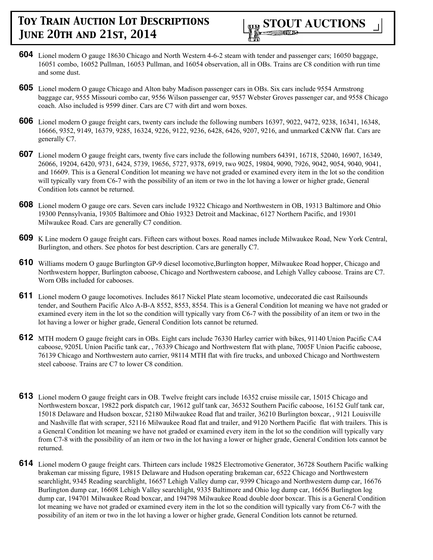

- **604** Lionel modern O gauge 18630 Chicago and North Western 4-6-2 steam with tender and passenger cars; 16050 baggage, 16051 combo, 16052 Pullman, 16053 Pullman, and 16054 observation, all in OBs. Trains are C8 condition with run time and some dust.
- **605** Lionel modern O gauge Chicago and Alton baby Madison passenger cars in OBs. Six cars include 9554 Armstrong baggage car, 9555 Missouri combo car, 9556 Wilson passenger car, 9557 Webster Groves passenger car, and 9558 Chicago coach. Also included is 9599 diner. Cars are C7 with dirt and worn boxes.
- **606** Lionel modern O gauge freight cars, twenty cars include the following numbers 16397, 9022, 9472, 9238, 16341, 16348, 16666, 9352, 9149, 16379, 9285, 16324, 9226, 9122, 9236, 6428, 6426, 9207, 9216, and unmarked C&NW flat. Cars are generally C7.
- **607** Lionel modern O gauge freight cars, twenty five cars include the following numbers 64391, 16718, 52040, 16907, 16349, 26066, 19204, 6420, 9731, 6424, 5739, 19656, 5727, 9378, 6919, two 9025, 19804, 9090, 7926, 9042, 9054, 9040, 9041, and 16609. This is a General Condition lot meaning we have not graded or examined every item in the lot so the condition will typically vary from C6-7 with the possibility of an item or two in the lot having a lower or higher grade, General Condition lots cannot be returned.
- **608** Lionel modern O gauge ore cars. Seven cars include 19322 Chicago and Northwestern in OB, 19313 Baltimore and Ohio 19300 Pennsylvania, 19305 Baltimore and Ohio 19323 Detroit and Mackinac, 6127 Northern Pacific, and 19301 Milwaukee Road. Cars are generally C7 condition.
- **609** K Line modern O gauge freight cars. Fifteen cars without boxes. Road names include Milwaukee Road, New York Central, Burlington, and others. See photos for best description. Cars are generally C7.
- **610** Williams modern O gauge Burlington GP-9 diesel locomotive,Burlington hopper, Milwaukee Road hopper, Chicago and Northwestern hopper, Burlington caboose, Chicago and Northwestern caboose, and Lehigh Valley caboose. Trains are C7. Worn OBs included for cabooses.
- **611** Lionel modern O gauge locomotives. Includes 8617 Nickel Plate steam locomotive, undecorated die cast Railsounds tender, and Southern Pacific Alco A-B-A 8552, 8553, 8554. This is a General Condition lot meaning we have not graded or examined every item in the lot so the condition will typically vary from C6-7 with the possibility of an item or two in the lot having a lower or higher grade, General Condition lots cannot be returned.
- **612** MTH modern O gauge freight cars in OBs. Eight cars include 76330 Harley carrier with bikes, 91140 Union Pacific CA4 caboose, 9205L Union Pacific tank car, , 76339 Chicago and Northwestern flat with plane, 7005F Union Pacific caboose, 76139 Chicago and Northwestern auto carrier, 98114 MTH flat with fire trucks, and unboxed Chicago and Northwestern steel caboose. Trains are C7 to lower C8 condition.
- **613** Lionel modern O gauge freight cars in OB. Twelve freight cars include 16352 cruise missile car, 15015 Chicago and Northwestern boxcar, 19822 pork dispatch car, 19612 gulf tank car, 36532 Southern Pacific caboose, 16152 Gulf tank car, 15018 Delaware and Hudson boxcar, 52180 Milwaukee Road flat and trailer, 36210 Burlington boxcar, , 9121 Louisville and Nashville flat with scraper, 52116 Milwaukee Road flat and trailer, and 9120 Northern Pacific flat with trailers. This is a General Condition lot meaning we have not graded or examined every item in the lot so the condition will typically vary from C7-8 with the possibility of an item or two in the lot having a lower or higher grade, General Condition lots cannot be returned.
- **614** Lionel modern O gauge freight cars. Thirteen cars include 19825 Electromotive Generator, 36728 Southern Pacific walking brakeman car missing figure, 19815 Delaware and Hudson operating brakeman car, 6522 Chicago and Northwestern searchlight, 9345 Reading searchlight, 16657 Lehigh Valley dump car, 9399 Chicago and Northwestern dump car, 16676 Burlington dump car, 16608 Lehigh Valley searchlight, 9335 Baltimore and Ohio log dump car, 16656 Burlington log dump car, 194701 Milwaukee Road boxcar, and 194798 Milwaukee Road double door boxcar. This is a General Condition lot meaning we have not graded or examined every item in the lot so the condition will typically vary from C6-7 with the possibility of an item or two in the lot having a lower or higher grade, General Condition lots cannot be returned.